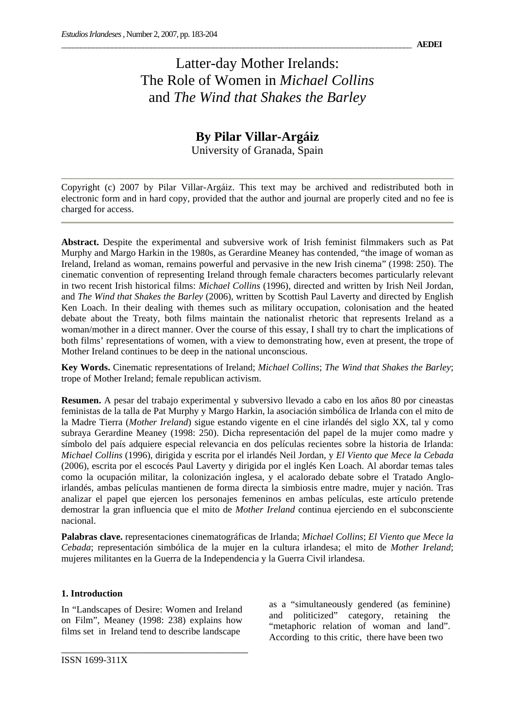# Latter-day Mother Irelands: The Role of Women in *Michael Collins*  and *The Wind that Shakes the Barley*

## **By Pilar Villar-Argáiz**  University of Granada, Spain

Copyright (c) 2007 by Pilar Villar-Argáiz. This text may be archived and redistributed both in electronic form and in hard copy, provided that the author and journal are properly cited and no fee is charged for access.

**Abstract.** Despite the experimental and subversive work of Irish feminist filmmakers such as Pat Murphy and Margo Harkin in the 1980s, as Gerardine Meaney has contended, "the image of woman as Ireland, Ireland as woman, remains powerful and pervasive in the new Irish cinema" (1998: 250). The cinematic convention of representing Ireland through female characters becomes particularly relevant in two recent Irish historical films: *Michael Collins* (1996), directed and written by Irish Neil Jordan, and *The Wind that Shakes the Barley* (2006), written by Scottish Paul Laverty and directed by English Ken Loach. In their dealing with themes such as military occupation, colonisation and the heated debate about the Treaty, both films maintain the nationalist rhetoric that represents Ireland as a woman/mother in a direct manner. Over the course of this essay, I shall try to chart the implications of both films' representations of women, with a view to demonstrating how, even at present, the trope of Mother Ireland continues to be deep in the national unconscious.

**Key Words.** Cinematic representations of Ireland; *Michael Collins*; *The Wind that Shakes the Barley*; trope of Mother Ireland; female republican activism.

**Resumen.** A pesar del trabajo experimental y subversivo llevado a cabo en los años 80 por cineastas feministas de la talla de Pat Murphy y Margo Harkin, la asociación simbólica de Irlanda con el mito de la Madre Tierra (*Mother Ireland*) sigue estando vigente en el cine irlandés del siglo XX, tal y como subraya Gerardine Meaney (1998: 250). Dicha representación del papel de la mujer como madre y símbolo del país adquiere especial relevancia en dos películas recientes sobre la historia de Irlanda: *Michael Collins* (1996), dirigida y escrita por el irlandés Neil Jordan, y *El Viento que Mece la Cebada*  (2006), escrita por el escocés Paul Laverty y dirigida por el inglés Ken Loach. Al abordar temas tales como la ocupación militar, la colonización inglesa, y el acalorado debate sobre el Tratado Angloirlandés, ambas películas mantienen de forma directa la simbiosis entre madre, mujer y nación. Tras analizar el papel que ejercen los personajes femeninos en ambas películas, este artículo pretende demostrar la gran influencia que el mito de *Mother Ireland* continua ejerciendo en el subconsciente nacional.

**Palabras clave.** representaciones cinematográficas de Irlanda; *Michael Collins*; *El Viento que Mece la Cebada*; representación simbólica de la mujer en la cultura irlandesa; el mito de *Mother Ireland*; mujeres militantes en la Guerra de la Independencia y la Guerra Civil irlandesa.

### **1. Introduction**

In "Landscapes of Desire: Women and Ireland on Film", Meaney (1998: 238) explains how films set in Ireland tend to describe landscape

\_\_\_\_\_\_\_\_\_\_\_\_\_\_\_\_\_\_\_\_\_\_\_\_\_\_\_\_\_\_\_\_\_\_\_\_

as a "simultaneously gendered (as feminine) and politicized" category, retaining the "metaphoric relation of woman and land". According to this critic, there have been two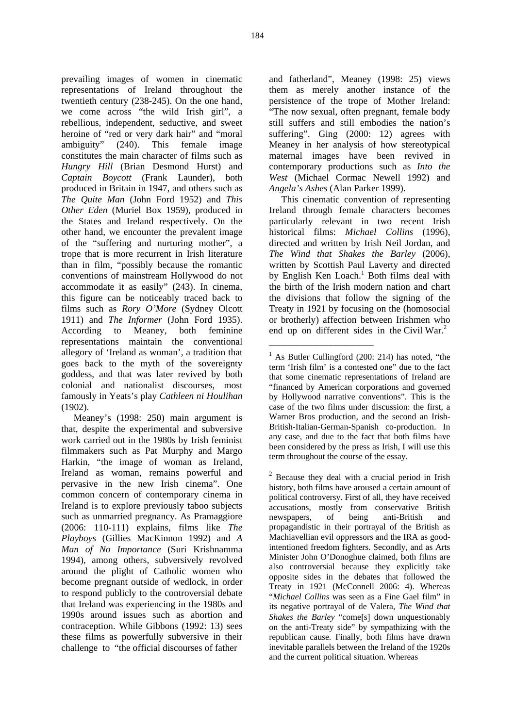prevailing images of women in cinematic representations of Ireland throughout the twentieth century (238-245). On the one hand, we come across "the wild Irish girl", a rebellious, independent, seductive, and sweet heroine of "red or very dark hair" and "moral ambiguity" (240). This female image constitutes the main character of films such as *Hungry Hill* (Brian Desmond Hurst) and *Captain Boycott* (Frank Launder), both produced in Britain in 1947, and others such as *The Quite Man* (John Ford 1952) and *This Other Eden* (Muriel Box 1959), produced in the States and Ireland respectively. On the other hand, we encounter the prevalent image of the "suffering and nurturing mother", a trope that is more recurrent in Irish literature than in film, "possibly because the romantic conventions of mainstream Hollywood do not accommodate it as easily" (243). In cinema, this figure can be noticeably traced back to films such as *Rory O'More* (Sydney Olcott 1911) and *The Informer* (John Ford 1935). According to Meaney, both feminine representations maintain the conventional allegory of 'Ireland as woman', a tradition that goes back to the myth of the sovereignty goddess, and that was later revived by both colonial and nationalist discourses, most famously in Yeats's play *Cathleen ni Houlihan* (1902).

Meaney's (1998: 250) main argument is that, despite the experimental and subversive work carried out in the 1980s by Irish feminist filmmakers such as Pat Murphy and Margo Harkin, "the image of woman as Ireland, Ireland as woman, remains powerful and pervasive in the new Irish cinema". One common concern of contemporary cinema in Ireland is to explore previously taboo subjects such as unmarried pregnancy. As Pramaggiore (2006: 110-111) explains, films like *The Playboys* (Gillies MacKinnon 1992) and *A Man of No Importance* (Suri Krishnamma 1994), among others, subversively revolved around the plight of Catholic women who become pregnant outside of wedlock, in order to respond publicly to the controversial debate that Ireland was experiencing in the 1980s and 1990s around issues such as abortion and contraception. While Gibbons (1992: 13) sees these films as powerfully subversive in their challenge to "the official discourses of father

and fatherland", Meaney (1998: 25) views them as merely another instance of the persistence of the trope of Mother Ireland: "The now sexual, often pregnant, female body still suffers and still embodies the nation's suffering". Ging (2000: 12) agrees with Meaney in her analysis of how stereotypical maternal images have been revived in contemporary productions such as *Into the West* (Michael Cormac Newell 1992) and *Angela's Ashes* (Alan Parker 1999).

This cinematic convention of representing Ireland through female characters becomes particularly relevant in two recent Irish historical films: *Michael Collins* (1996), directed and written by Irish Neil Jordan, and *The Wind that Shakes the Barley* (2006), written by Scottish Paul Laverty and directed by English Ken Loach.<sup>1</sup> Both films deal with the birth of the Irish modern nation and chart the divisions that follow the signing of the Treaty in 1921 by focusing on the (homosocial or brotherly) affection between Irishmen who end up on different sides in the Civil War.<sup>2</sup>

\_\_\_\_\_\_\_\_\_\_\_\_\_\_\_\_\_\_\_\_\_\_

 $2$  Because they deal with a crucial period in Irish history, both films have aroused a certain amount of political controversy. First of all, they have received accusations, mostly from conservative British newspapers, of being anti-British and propagandistic in their portrayal of the British as Machiavellian evil oppressors and the IRA as goodintentioned freedom fighters. Secondly, and as Arts Minister John O'Donoghue claimed, both films are also controversial because they explicitly take opposite sides in the debates that followed the Treaty in 1921 (McConnell 2006: 4). Whereas "*Michael Collins* was seen as a Fine Gael film" in its negative portrayal of de Valera, *The Wind that Shakes the Barley* "come[s] down unquestionably on the anti-Treaty side" by sympathizing with the republican cause. Finally, both films have drawn inevitable parallels between the Ireland of the 1920s and the current political situation. Whereas

<sup>&</sup>lt;sup>1</sup> As Butler Cullingford (200: 214) has noted, "the term 'Irish film' is a contested one" due to the fact that some cinematic representations of Ireland are "financed by American corporations and governed by Hollywood narrative conventions". This is the case of the two films under discussion: the first, a Warner Bros production, and the second an Irish-British-Italian-German-Spanish co-production. In any case, and due to the fact that both films have been considered by the press as Irish, I will use this term throughout the course of the essay.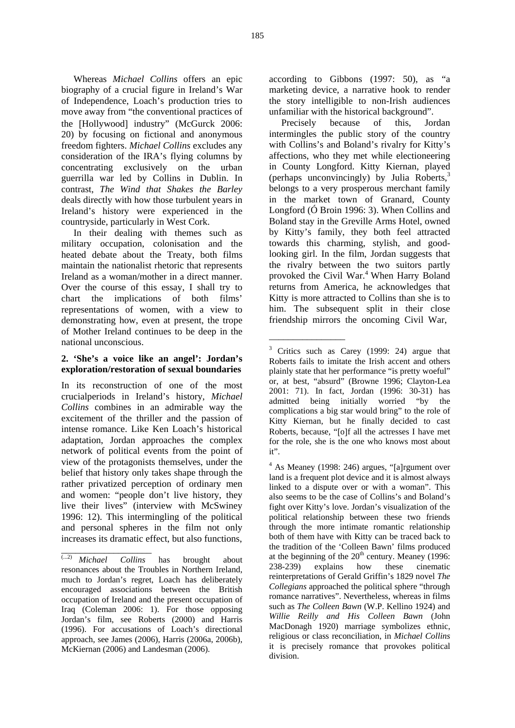Whereas *Michael Collins* offers an epic biography of a crucial figure in Ireland's War of Independence, Loach's production tries to move away from "the conventional practices of the [Hollywood] industry" (McGurck 2006: 20) by focusing on fictional and anonymous freedom fighters. *Michael Collins* excludes any consideration of the IRA's flying columns by concentrating exclusively on the urban guerrilla war led by Collins in Dublin. In contrast, *The Wind that Shakes the Barley* deals directly with how those turbulent years in Ireland's history were experienced in the countryside, particularly in West Cork.

In their dealing with themes such as military occupation, colonisation and the heated debate about the Treaty, both films maintain the nationalist rhetoric that represents Ireland as a woman/mother in a direct manner. Over the course of this essay, I shall try to chart the implications of both films' representations of women, with a view to demonstrating how, even at present, the trope of Mother Ireland continues to be deep in the national unconscious.

### **2. 'She's a voice like an angel': Jordan's exploration/restoration of sexual boundaries**

In its reconstruction of one of the most crucialperiods in Ireland's history, *Michael Collins* combines in an admirable way the excitement of the thriller and the passion of intense romance. Like Ken Loach's historical adaptation, Jordan approaches the complex network of political events from the point of view of the protagonists themselves, under the belief that history only takes shape through the rather privatized perception of ordinary men and women: "people don't live history, they live their lives" (interview with McSwiney 1996: 12). This intermingling of the political and personal spheres in the film not only increases its dramatic effect, but also functions,

\_\_\_\_\_\_\_\_\_\_\_\_\_\_\_\_\_\_\_

according to Gibbons (1997: 50), as "a marketing device, a narrative hook to render the story intelligible to non-Irish audiences unfamiliar with the historical background".

Precisely because of this, Jordan intermingles the public story of the country with Collins's and Boland's rivalry for Kitty's affections, who they met while electioneering in County Longford. Kitty Kiernan, played (perhaps unconvincingly) by Julia Roberts, $3$ belongs to a very prosperous merchant family in the market town of Granard, County Longford (Ó Broin 1996: 3). When Collins and Boland stay in the Greville Arms Hotel, owned by Kitty's family, they both feel attracted towards this charming, stylish, and goodlooking girl. In the film, Jordan suggests that the rivalry between the two suitors partly provoked the Civil War.<sup>4</sup> When Harry Boland returns from America, he acknowledges that Kitty is more attracted to Collins than she is to him. The subsequent split in their close friendship mirrors the oncoming Civil War,

\_\_\_\_\_\_\_\_\_\_\_\_\_\_\_\_

<sup>(...2)</sup> *Michael Collins* has brought about resonances about the Troubles in Northern Ireland, much to Jordan's regret, Loach has deliberately encouraged associations between the British occupation of Ireland and the present occupation of Iraq (Coleman 2006: 1). For those opposing Jordan's film, see Roberts (2000) and Harris (1996). For accusations of Loach's directional approach, see James (2006), Harris (2006a, 2006b), McKiernan (2006) and Landesman (2006).

<sup>&</sup>lt;sup>3</sup> Critics such as Carey (1999: 24) argue that Roberts fails to imitate the Irish accent and others plainly state that her performance "is pretty woeful" or, at best, "absurd" (Browne 1996; Clayton-Lea 2001: 71). In fact, Jordan (1996: 30-31) has admitted being initially worried "by the complications a big star would bring" to the role of Kitty Kiernan, but he finally decided to cast Roberts, because, "[o]f all the actresses I have met for the role, she is the one who knows most about it".

<sup>4</sup> As Meaney (1998: 246) argues, "[a]rgument over land is a frequent plot device and it is almost always linked to a dispute over or with a woman". This also seems to be the case of Collins's and Boland's fight over Kitty's love. Jordan's visualization of the political relationship between these two friends through the more intimate romantic relationship both of them have with Kitty can be traced back to the tradition of the 'Colleen Bawn' films produced at the beginning of the  $20<sup>th</sup>$  century. Meaney (1996: 238-239) explains how these cinematic reinterpretations of Gerald Griffin's 1829 novel *The Collegians* approached the political sphere "through romance narratives". Nevertheless, whereas in films such as *The Colleen Bawn* (W.P. Kellino 1924) and *Willie Reilly and His Colleen Bawn* (John MacDonagh 1920) marriage symbolizes ethnic, religious or class reconciliation, in *Michael Collins* it is precisely romance that provokes political division.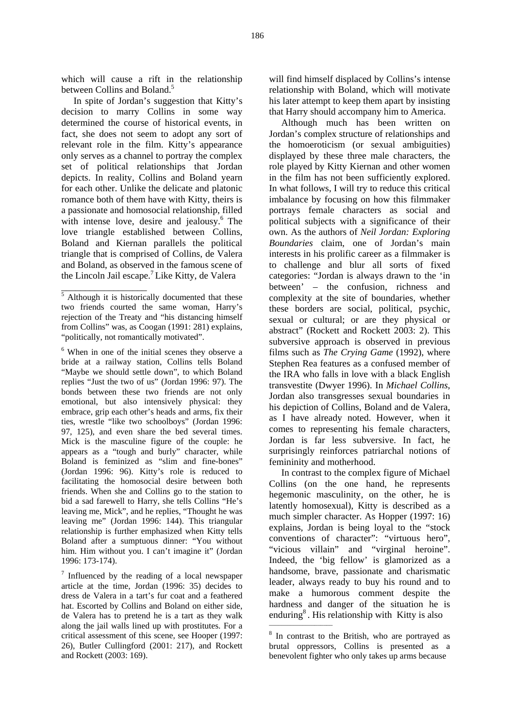which will cause a rift in the relationship between Collins and Boland.<sup>5</sup>

In spite of Jordan's suggestion that Kitty's decision to marry Collins in some way determined the course of historical events, in fact, she does not seem to adopt any sort of relevant role in the film. Kitty's appearance only serves as a channel to portray the complex set of political relationships that Jordan depicts. In reality, Collins and Boland yearn for each other. Unlike the delicate and platonic romance both of them have with Kitty, theirs is a passionate and homosocial relationship, filled with intense love, desire and jealousy.<sup>6</sup> The love triangle established between Collins, Boland and Kiernan parallels the political triangle that is comprised of Collins, de Valera and Boland, as observed in the famous scene of the Lincoln Jail escape.7 Like Kitty, de Valera

\_\_\_\_\_\_\_\_\_\_\_\_\_\_\_\_\_\_

will find himself displaced by Collins's intense relationship with Boland, which will motivate his later attempt to keep them apart by insisting that Harry should accompany him to America.

Although much has been written on Jordan's complex structure of relationships and the homoeroticism (or sexual ambiguities) displayed by these three male characters, the role played by Kitty Kiernan and other women in the film has not been sufficiently explored. In what follows, I will try to reduce this critical imbalance by focusing on how this filmmaker portrays female characters as social and political subjects with a significance of their own. As the authors of *Neil Jordan: Exploring Boundaries* claim, one of Jordan's main interests in his prolific career as a filmmaker is to challenge and blur all sorts of fixed categories: "Jordan is always drawn to the 'in between' – the confusion, richness and complexity at the site of boundaries, whether these borders are social, political, psychic, sexual or cultural; or are they physical or abstract" (Rockett and Rockett 2003: 2). This subversive approach is observed in previous films such as *The Crying Game* (1992), where Stephen Rea features as a confused member of the IRA who falls in love with a black English transvestite (Dwyer 1996). In *Michael Collins*, Jordan also transgresses sexual boundaries in his depiction of Collins, Boland and de Valera, as I have already noted. However, when it comes to representing his female characters, Jordan is far less subversive. In fact, he surprisingly reinforces patriarchal notions of femininity and motherhood.

In contrast to the complex figure of Michael Collins (on the one hand, he represents hegemonic masculinity, on the other, he is latently homosexual), Kitty is described as a much simpler character. As Hopper (1997: 16) explains, Jordan is being loyal to the "stock conventions of character": "virtuous hero", "vicious villain" and "virginal heroine". Indeed, the 'big fellow' is glamorized as a handsome, brave, passionate and charismatic leader, always ready to buy his round and to make a humorous comment despite the hardness and danger of the situation he is enduring<sup>8</sup>. His relationship with Kitty is also

<sup>&</sup>lt;sup>5</sup> Although it is historically documented that these two friends courted the same woman, Harry's rejection of the Treaty and "his distancing himself from Collins" was, as Coogan (1991: 281) explains, "politically, not romantically motivated".

<sup>6</sup> When in one of the initial scenes they observe a bride at a railway station, Collins tells Boland "Maybe we should settle down", to which Boland replies "Just the two of us" (Jordan 1996: 97). The bonds between these two friends are not only emotional, but also intensively physical: they embrace, grip each other's heads and arms, fix their ties, wrestle "like two schoolboys" (Jordan 1996: 97, 125), and even share the bed several times. Mick is the masculine figure of the couple: he appears as a "tough and burly" character, while Boland is feminized as "slim and fine-bones" (Jordan 1996: 96). Kitty's role is reduced to facilitating the homosocial desire between both friends. When she and Collins go to the station to bid a sad farewell to Harry, she tells Collins "He's leaving me, Mick", and he replies, "Thought he was leaving me" (Jordan 1996: 144). This triangular relationship is further emphasized when Kitty tells Boland after a sumptuous dinner: "You without him. Him without you. I can't imagine it" (Jordan 1996: 173-174).

 $\frac{7}{7}$  Influenced by the reading of a local newspaper article at the time, Jordan (1996: 35) decides to dress de Valera in a tart's fur coat and a feathered hat. Escorted by Collins and Boland on either side, de Valera has to pretend he is a tart as they walk along the jail walls lined up with prostitutes. For a critical assessment of this scene, see Hooper (1997: 26), Butler Cullingford (2001: 217), and Rockett and Rockett (2003: 169).

<sup>&</sup>lt;sup>8</sup> In contrast to the British, who are portrayed as brutal oppressors, Collins is presented as a benevolent fighter who only takes up arms because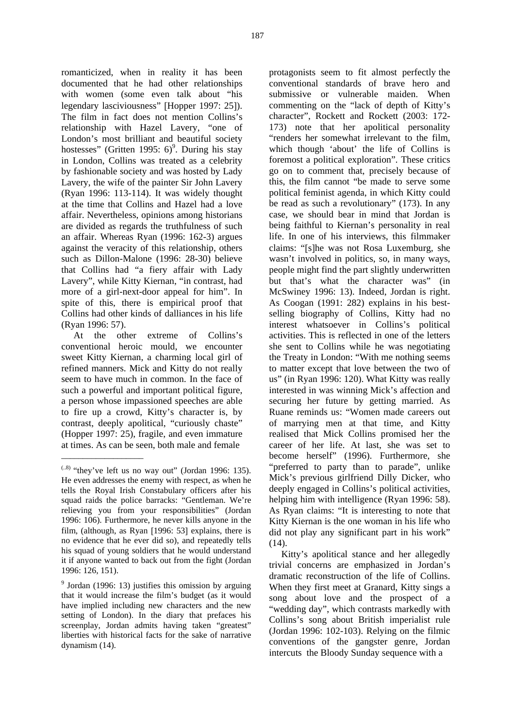romanticized, when in reality it has been documented that he had other relationships with women (some even talk about "his legendary lasciviousness" [Hopper 1997: 25]).

The film in fact does not mention Collins's relationship with Hazel Lavery, "one of London's most brilliant and beautiful society hostesses" (Gritten 1995:  $6$ <sup>9</sup>. During his stay in London, Collins was treated as a celebrity by fashionable society and was hosted by Lady Lavery, the wife of the painter Sir John Lavery (Ryan 1996: 113-114). It was widely thought at the time that Collins and Hazel had a love affair. Nevertheless, opinions among historians are divided as regards the truthfulness of such an affair. Whereas Ryan (1996: 162-3) argues against the veracity of this relationship, others such as Dillon-Malone (1996: 28-30) believe that Collins had "a fiery affair with Lady Lavery", while Kitty Kiernan, "in contrast, had more of a girl-next-door appeal for him". In spite of this, there is empirical proof that Collins had other kinds of dalliances in his life (Ryan 1996: 57).

At the other extreme of Collins's conventional heroic mould, we encounter sweet Kitty Kiernan, a charming local girl of refined manners. Mick and Kitty do not really seem to have much in common. In the face of such a powerful and important political figure, a person whose impassioned speeches are able to fire up a crowd, Kitty's character is, by contrast, deeply apolitical, "curiously chaste" (Hopper 1997: 25), fragile, and even immature at times. As can be seen, both male and female

\_\_\_\_\_\_\_\_\_\_\_\_\_\_\_\_\_\_\_

protagonists seem to fit almost perfectly the conventional standards of brave hero and submissive or vulnerable maiden. When commenting on the "lack of depth of Kitty's character", Rockett and Rockett (2003: 172- 173) note that her apolitical personality "renders her somewhat irrelevant to the film, which though 'about' the life of Collins is foremost a political exploration". These critics go on to comment that, precisely because of this, the film cannot "be made to serve some political feminist agenda, in which Kitty could be read as such a revolutionary" (173). In any case, we should bear in mind that Jordan is being faithful to Kiernan's personality in real life. In one of his interviews, this filmmaker claims: "[s]he was not Rosa Luxemburg, she wasn't involved in politics, so, in many ways, people might find the part slightly underwritten but that's what the character was" (in McSwiney 1996: 13). Indeed, Jordan is right. As Coogan (1991: 282) explains in his bestselling biography of Collins, Kitty had no interest whatsoever in Collins's political activities. This is reflected in one of the letters she sent to Collins while he was negotiating the Treaty in London: "With me nothing seems to matter except that love between the two of us" (in Ryan 1996: 120). What Kitty was really interested in was winning Mick's affection and securing her future by getting married. As Ruane reminds us: "Women made careers out of marrying men at that time, and Kitty realised that Mick Collins promised her the career of her life. At last, she was set to become herself" (1996). Furthermore, she "preferred to party than to parade", unlike Mick's previous girlfriend Dilly Dicker, who deeply engaged in Collins's political activities, helping him with intelligence (Ryan 1996: 58). As Ryan claims: "It is interesting to note that Kitty Kiernan is the one woman in his life who did not play any significant part in his work" (14).

Kitty's apolitical stance and her allegedly trivial concerns are emphasized in Jordan's dramatic reconstruction of the life of Collins. When they first meet at Granard, Kitty sings a song about love and the prospect of a "wedding day", which contrasts markedly with Collins's song about British imperialist rule (Jordan 1996: 102-103). Relying on the filmic conventions of the gangster genre, Jordan intercuts the Bloody Sunday sequence with a

 $(1.8)$  "they've left us no way out" (Jordan 1996: 135). He even addresses the enemy with respect, as when he tells the Royal Irish Constabulary officers after his squad raids the police barracks: "Gentleman. We're relieving you from your responsibilities" (Jordan 1996: 106). Furthermore, he never kills anyone in the film, (although, as Ryan [1996: 53] explains, there is no evidence that he ever did so), and repeatedly tells his squad of young soldiers that he would understand it if anyone wanted to back out from the fight (Jordan 1996: 126, 151).

<sup>&</sup>lt;sup>9</sup> Jordan (1996: 13) justifies this omission by arguing that it would increase the film's budget (as it would have implied including new characters and the new setting of London). In the diary that prefaces his screenplay, Jordan admits having taken "greatest" liberties with historical facts for the sake of narrative dynamism (14).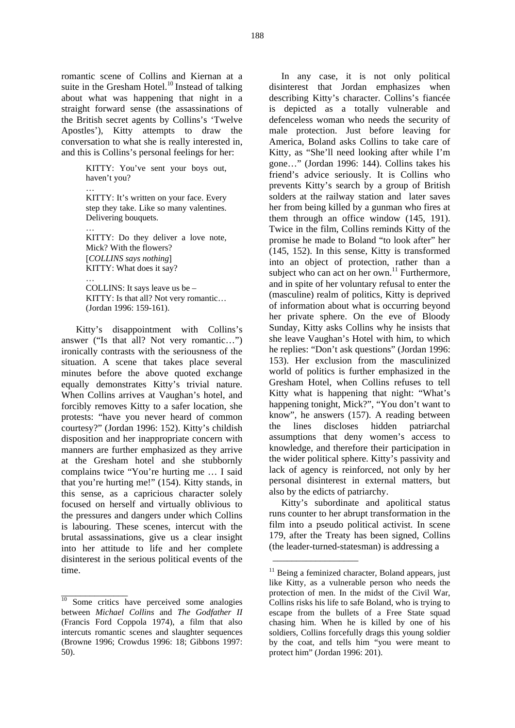romantic scene of Collins and Kiernan at a suite in the Gresham Hotel.<sup>10</sup> Instead of talking about what was happening that night in a straight forward sense (the assassinations of the British secret agents by Collins's 'Twelve Apostles'), Kitty attempts to draw the conversation to what she is really interested in, and this is Collins's personal feelings for her:

> KITTY: You've sent your boys out, haven't you?

> … KITTY: It's written on your face. Every step they take. Like so many valentines. Delivering bouquets.

> … KITTY: Do they deliver a love note, Mick? With the flowers? [*COLLINS says nothing*] KITTY: What does it say?

> … COLLINS: It says leave us be – KITTY: Is that all? Not very romantic… (Jordan 1996: 159-161).

 Kitty's disappointment with Collins's answer ("Is that all? Not very romantic…") ironically contrasts with the seriousness of the situation. A scene that takes place several minutes before the above quoted exchange equally demonstrates Kitty's trivial nature. When Collins arrives at Vaughan's hotel, and forcibly removes Kitty to a safer location, she protests: "have you never heard of common courtesy?" (Jordan 1996: 152). Kitty's childish disposition and her inappropriate concern with manners are further emphasized as they arrive at the Gresham hotel and she stubbornly complains twice "You're hurting me … I said that you're hurting me!" (154). Kitty stands, in this sense, as a capricious character solely focused on herself and virtually oblivious to the pressures and dangers under which Collins is labouring. These scenes, intercut with the brutal assassinations, give us a clear insight into her attitude to life and her complete disinterest in the serious political events of the time.

\_\_\_\_\_\_\_\_\_\_\_\_\_\_

In any case, it is not only political disinterest that Jordan emphasizes when describing Kitty's character. Collins's fiancée is depicted as a totally vulnerable and defenceless woman who needs the security of male protection. Just before leaving for America, Boland asks Collins to take care of Kitty, as "She'll need looking after while I'm gone…" (Jordan 1996: 144). Collins takes his friend's advice seriously. It is Collins who prevents Kitty's search by a group of British solders at the railway station and later saves her from being killed by a gunman who fires at them through an office window (145, 191). Twice in the film, Collins reminds Kitty of the promise he made to Boland "to look after" her (145, 152). In this sense, Kitty is transformed into an object of protection, rather than a subject who can act on her own.<sup>11</sup> Furthermore, and in spite of her voluntary refusal to enter the (masculine) realm of politics, Kitty is deprived of information about what is occurring beyond her private sphere. On the eve of Bloody Sunday, Kitty asks Collins why he insists that she leave Vaughan's Hotel with him, to which he replies: "Don't ask questions" (Jordan 1996: 153). Her exclusion from the masculinized world of politics is further emphasized in the Gresham Hotel, when Collins refuses to tell Kitty what is happening that night: "What's happening tonight, Mick?", "You don't want to know", he answers (157). A reading between the lines discloses hidden patriarchal assumptions that deny women's access to knowledge, and therefore their participation in the wider political sphere. Kitty's passivity and lack of agency is reinforced, not only by her personal disinterest in external matters, but also by the edicts of patriarchy.

Kitty's subordinate and apolitical status runs counter to her abrupt transformation in the film into a pseudo political activist. In scene 179, after the Treaty has been signed, Collins (the leader-turned-statesman) is addressing a

\_\_\_\_\_\_\_\_\_\_\_\_\_\_\_\_\_\_

<sup>&</sup>lt;sup>10</sup> Some critics have perceived some analogies between *Michael Collins* and *The Godfather II* (Francis Ford Coppola 1974), a film that also intercuts romantic scenes and slaughter sequences (Browne 1996; Crowdus 1996: 18; Gibbons 1997: 50).

 $11$  Being a feminized character, Boland appears, just like Kitty, as a vulnerable person who needs the protection of men. In the midst of the Civil War, Collins risks his life to safe Boland, who is trying to escape from the bullets of a Free State squad chasing him. When he is killed by one of his soldiers, Collins forcefully drags this young soldier by the coat, and tells him "you were meant to protect him" (Jordan 1996: 201).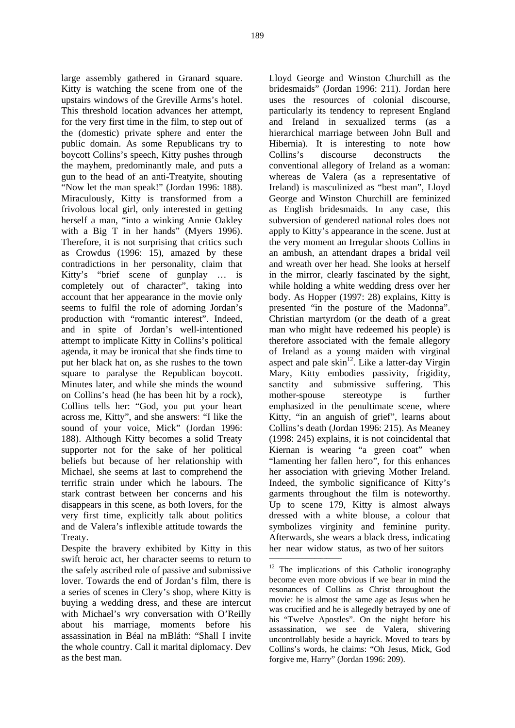large assembly gathered in Granard square. Kitty is watching the scene from one of the upstairs windows of the Greville Arms's hotel. This threshold location advances her attempt, for the very first time in the film, to step out of the (domestic) private sphere and enter the public domain. As some Republicans try to boycott Collins's speech, Kitty pushes through the mayhem, predominantly male, and puts a gun to the head of an anti-Treatyite, shouting "Now let the man speak!" (Jordan 1996: 188). Miraculously, Kitty is transformed from a frivolous local girl, only interested in getting herself a man, "into a winking Annie Oakley with a Big T in her hands" (Myers 1996). Therefore, it is not surprising that critics such as Crowdus (1996: 15), amazed by these contradictions in her personality, claim that Kitty's "brief scene of gunplay … is completely out of character", taking into account that her appearance in the movie only seems to fulfil the role of adorning Jordan's production with "romantic interest". Indeed, and in spite of Jordan's well-intentioned attempt to implicate Kitty in Collins's political agenda, it may be ironical that she finds time to put her black hat on, as she rushes to the town square to paralyse the Republican boycott. Minutes later, and while she minds the wound on Collins's head (he has been hit by a rock), Collins tells her: "God, you put your heart across me, Kitty", and she answers: "I like the sound of your voice, Mick" (Jordan 1996: 188). Although Kitty becomes a solid Treaty supporter not for the sake of her political beliefs but because of her relationship with Michael, she seems at last to comprehend the terrific strain under which he labours. The stark contrast between her concerns and his disappears in this scene, as both lovers, for the very first time, explicitly talk about politics and de Valera's inflexible attitude towards the Treaty.

Despite the bravery exhibited by Kitty in this swift heroic act, her character seems to return to the safely ascribed role of passive and submissive lover. Towards the end of Jordan's film, there is a series of scenes in Clery's shop, where Kitty is buying a wedding dress, and these are intercut with Michael's wry conversation with O'Reilly about his marriage, moments before his assassination in Béal na mBláth: "Shall I invite the whole country. Call it marital diplomacy. Dev as the best man.

Lloyd George and Winston Churchill as the bridesmaids" (Jordan 1996: 211). Jordan here uses the resources of colonial discourse, particularly its tendency to represent England and Ireland in sexualized terms (as a hierarchical marriage between John Bull and Hibernia). It is interesting to note how Collins's discourse deconstructs the conventional allegory of Ireland as a woman: whereas de Valera (as a representative of Ireland) is masculinized as "best man", Lloyd George and Winston Churchill are feminized as English bridesmaids. In any case, this subversion of gendered national roles does not apply to Kitty's appearance in the scene. Just at the very moment an Irregular shoots Collins in an ambush, an attendant drapes a bridal veil and wreath over her head. She looks at herself in the mirror, clearly fascinated by the sight, while holding a white wedding dress over her body. As Hopper (1997: 28) explains, Kitty is presented "in the posture of the Madonna". Christian martyrdom (or the death of a great man who might have redeemed his people) is therefore associated with the female allegory of Ireland as a young maiden with virginal aspect and pale  $\sin^{12}$ . Like a latter-day Virgin Mary, Kitty embodies passivity, frigidity, sanctity and submissive suffering. This mother-spouse stereotype is further emphasized in the penultimate scene, where Kitty, "in an anguish of grief", learns about Collins's death (Jordan 1996: 215). As Meaney (1998: 245) explains, it is not coincidental that Kiernan is wearing "a green coat" when "lamenting her fallen hero", for this enhances her association with grieving Mother Ireland. Indeed, the symbolic significance of Kitty's garments throughout the film is noteworthy. Up to scene 179, Kitty is almost always dressed with a white blouse, a colour that symbolizes virginity and feminine purity. Afterwards, she wears a black dress, indicating her near widow status, as two of her suitors  $\_$ 

The implications of this Catholic iconography become even more obvious if we bear in mind the resonances of Collins as Christ throughout the movie: he is almost the same age as Jesus when he was crucified and he is allegedly betrayed by one of his "Twelve Apostles". On the night before his assassination, we see de Valera, shivering uncontrollably beside a hayrick. Moved to tears by Collins's words, he claims: "Oh Jesus, Mick, God forgive me, Harry" (Jordan 1996: 209).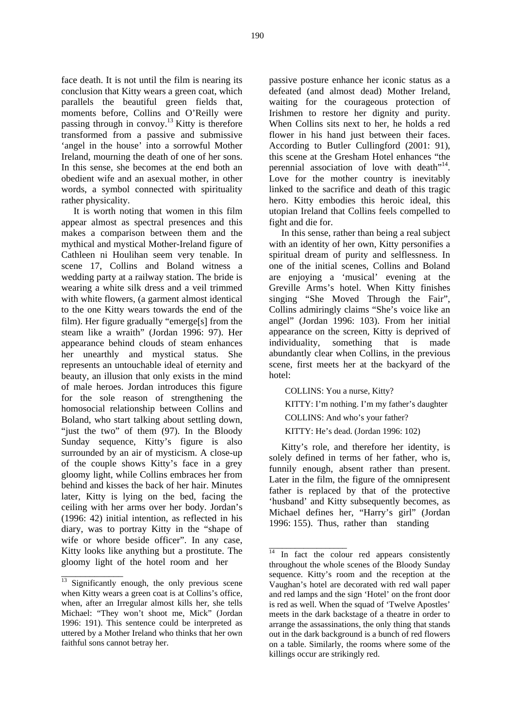face death. It is not until the film is nearing its conclusion that Kitty wears a green coat, which parallels the beautiful green fields that, moments before, Collins and O'Reilly were passing through in convoy.<sup>13</sup> Kitty is therefore transformed from a passive and submissive 'angel in the house' into a sorrowful Mother Ireland, mourning the death of one of her sons. In this sense, she becomes at the end both an obedient wife and an asexual mother, in other words, a symbol connected with spirituality rather physicality.

It is worth noting that women in this film appear almost as spectral presences and this makes a comparison between them and the mythical and mystical Mother-Ireland figure of Cathleen ni Houlihan seem very tenable. In scene 17, Collins and Boland witness a wedding party at a railway station. The bride is wearing a white silk dress and a veil trimmed with white flowers, (a garment almost identical to the one Kitty wears towards the end of the film). Her figure gradually "emerge[s] from the steam like a wraith" (Jordan 1996: 97). Her appearance behind clouds of steam enhances her unearthly and mystical status. She represents an untouchable ideal of eternity and beauty, an illusion that only exists in the mind of male heroes. Jordan introduces this figure for the sole reason of strengthening the homosocial relationship between Collins and Boland, who start talking about settling down, "just the two" of them (97). In the Bloody Sunday sequence, Kitty's figure is also surrounded by an air of mysticism. A close-up of the couple shows Kitty's face in a grey gloomy light, while Collins embraces her from behind and kisses the back of her hair. Minutes later, Kitty is lying on the bed, facing the ceiling with her arms over her body. Jordan's (1996: 42) initial intention, as reflected in his diary, was to portray Kitty in the "shape of wife or whore beside officer". In any case, Kitty looks like anything but a prostitute. The gloomy light of the hotel room and her

\_\_\_\_\_\_\_\_\_\_\_\_\_

passive posture enhance her iconic status as a defeated (and almost dead) Mother Ireland, waiting for the courageous protection of Irishmen to restore her dignity and purity. When Collins sits next to her, he holds a red flower in his hand just between their faces. According to Butler Cullingford (2001: 91), this scene at the Gresham Hotel enhances "the perennial association of love with death<sup>"14</sup>. Love for the mother country is inevitably linked to the sacrifice and death of this tragic hero. Kitty embodies this heroic ideal, this utopian Ireland that Collins feels compelled to fight and die for.

In this sense, rather than being a real subject with an identity of her own, Kitty personifies a spiritual dream of purity and selflessness. In one of the initial scenes, Collins and Boland are enjoying a 'musical' evening at the Greville Arms's hotel. When Kitty finishes singing "She Moved Through the Fair", Collins admiringly claims "She's voice like an angel" (Jordan 1996: 103). From her initial appearance on the screen, Kitty is deprived of individuality, something that is made abundantly clear when Collins, in the previous scene, first meets her at the backyard of the hotel:

COLLINS: You a nurse, Kitty?

\_\_\_\_\_\_\_\_\_\_\_\_\_\_\_\_\_\_

KITTY: I'm nothing. I'm my father's daughter

COLLINS: And who's your father?

KITTY: He's dead. (Jordan 1996: 102)

Kitty's role, and therefore her identity, is solely defined in terms of her father, who is, funnily enough, absent rather than present. Later in the film, the figure of the omnipresent father is replaced by that of the protective 'husband' and Kitty subsequently becomes, as Michael defines her, "Harry's girl" (Jordan 1996: 155). Thus, rather than standing

 $\frac{13}{13}$  Significantly enough, the only previous scene when Kitty wears a green coat is at Collins's office, when, after an Irregular almost kills her, she tells Michael: "They won't shoot me, Mick" (Jordan 1996: 191). This sentence could be interpreted as uttered by a Mother Ireland who thinks that her own faithful sons cannot betray her.

 $\overline{14}$  In fact the colour red appears consistently throughout the whole scenes of the Bloody Sunday sequence. Kitty's room and the reception at the Vaughan's hotel are decorated with red wall paper and red lamps and the sign 'Hotel' on the front door is red as well. When the squad of 'Twelve Apostles' meets in the dark backstage of a theatre in order to arrange the assassinations, the only thing that stands out in the dark background is a bunch of red flowers on a table. Similarly, the rooms where some of the killings occur are strikingly red.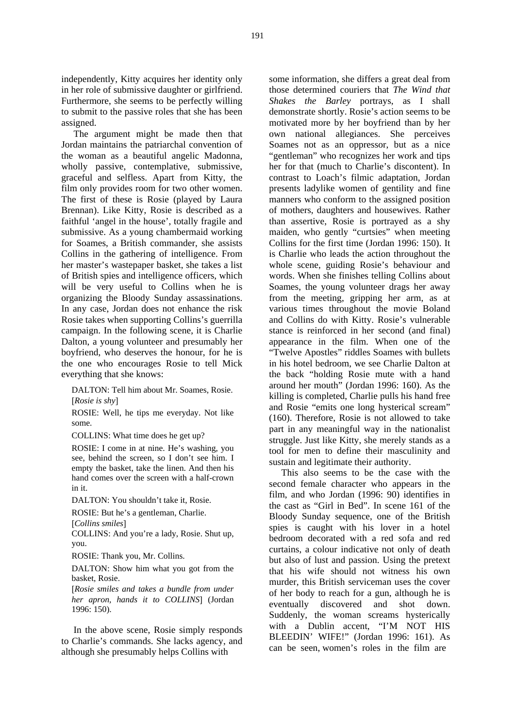independently, Kitty acquires her identity only in her role of submissive daughter or girlfriend. Furthermore, she seems to be perfectly willing to submit to the passive roles that she has been assigned.

The argument might be made then that Jordan maintains the patriarchal convention of the woman as a beautiful angelic Madonna, wholly passive, contemplative, submissive, graceful and selfless. Apart from Kitty, the film only provides room for two other women. The first of these is Rosie (played by Laura Brennan). Like Kitty, Rosie is described as a faithful 'angel in the house', totally fragile and submissive. As a young chambermaid working for Soames, a British commander, she assists Collins in the gathering of intelligence. From her master's wastepaper basket, she takes a list of British spies and intelligence officers, which will be very useful to Collins when he is organizing the Bloody Sunday assassinations. In any case, Jordan does not enhance the risk Rosie takes when supporting Collins's guerrilla campaign. In the following scene, it is Charlie Dalton, a young volunteer and presumably her boyfriend, who deserves the honour, for he is the one who encourages Rosie to tell Mick everything that she knows:

DALTON: Tell him about Mr. Soames, Rosie. [*Rosie is shy*]

ROSIE: Well, he tips me everyday. Not like some.

COLLINS: What time does he get up?

ROSIE: I come in at nine. He's washing, you see, behind the screen, so I don't see him. I empty the basket, take the linen. And then his hand comes over the screen with a half-crown in it.

DALTON: You shouldn't take it, Rosie.

ROSIE: But he's a gentleman, Charlie. [*Collins smiles*]

COLLINS: And you're a lady, Rosie. Shut up, you.

ROSIE: Thank you, Mr. Collins.

DALTON: Show him what you got from the basket, Rosie.

[*Rosie smiles and takes a bundle from under her apron, hands it to COLLINS*] (Jordan 1996: 150).

In the above scene, Rosie simply responds to Charlie's commands. She lacks agency, and although she presumably helps Collins with

some information, she differs a great deal from those determined couriers that *The Wind that Shakes the Barley* portrays, as I shall demonstrate shortly. Rosie's action seems to be motivated more by her boyfriend than by her own national allegiances. She perceives Soames not as an oppressor, but as a nice "gentleman" who recognizes her work and tips her for that (much to Charlie's discontent). In contrast to Loach's filmic adaptation, Jordan presents ladylike women of gentility and fine manners who conform to the assigned position of mothers, daughters and housewives. Rather than assertive, Rosie is portrayed as a shy maiden, who gently "curtsies" when meeting Collins for the first time (Jordan 1996: 150). It is Charlie who leads the action throughout the whole scene, guiding Rosie's behaviour and words. When she finishes telling Collins about Soames, the young volunteer drags her away from the meeting, gripping her arm, as at various times throughout the movie Boland and Collins do with Kitty. Rosie's vulnerable stance is reinforced in her second (and final) appearance in the film. When one of the "Twelve Apostles" riddles Soames with bullets in his hotel bedroom, we see Charlie Dalton at the back "holding Rosie mute with a hand around her mouth" (Jordan 1996: 160). As the killing is completed, Charlie pulls his hand free and Rosie "emits one long hysterical scream" (160). Therefore, Rosie is not allowed to take part in any meaningful way in the nationalist struggle. Just like Kitty, she merely stands as a tool for men to define their masculinity and sustain and legitimate their authority.

This also seems to be the case with the second female character who appears in the film, and who Jordan (1996: 90) identifies in the cast as "Girl in Bed". In scene 161 of the Bloody Sunday sequence, one of the British spies is caught with his lover in a hotel bedroom decorated with a red sofa and red curtains, a colour indicative not only of death but also of lust and passion. Using the pretext that his wife should not witness his own murder, this British serviceman uses the cover of her body to reach for a gun, although he is eventually discovered and shot down. Suddenly, the woman screams hysterically with a Dublin accent, "I'M NOT HIS BLEEDIN' WIFE!" (Jordan 1996: 161). As can be seen, women's roles in the film are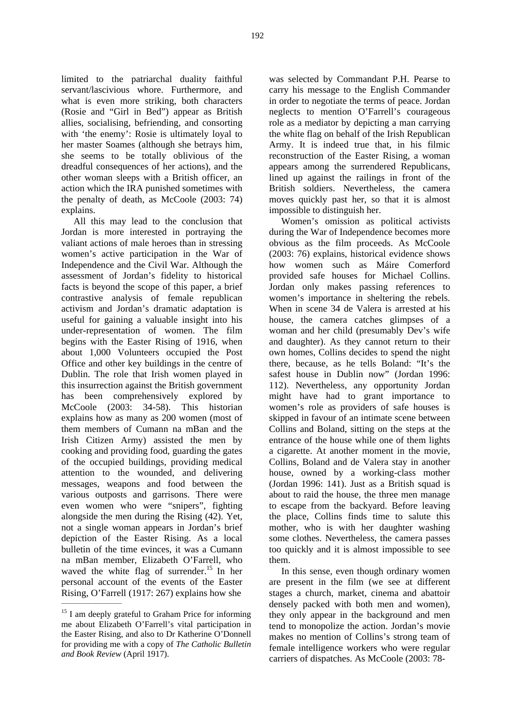limited to the patriarchal duality faithful servant/lascivious whore. Furthermore, and what is even more striking, both characters (Rosie and "Girl in Bed") appear as British allies, socialising, befriending, and consorting with 'the enemy': Rosie is ultimately loyal to her master Soames (although she betrays him, she seems to be totally oblivious of the dreadful consequences of her actions), and the other woman sleeps with a British officer, an action which the IRA punished sometimes with the penalty of death, as McCoole (2003: 74) explains.

All this may lead to the conclusion that Jordan is more interested in portraying the valiant actions of male heroes than in stressing women's active participation in the War of Independence and the Civil War. Although the assessment of Jordan's fidelity to historical facts is beyond the scope of this paper, a brief contrastive analysis of female republican activism and Jordan's dramatic adaptation is useful for gaining a valuable insight into his under-representation of women. The film begins with the Easter Rising of 1916, when about 1,000 Volunteers occupied the Post Office and other key buildings in the centre of Dublin. The role that Irish women played in this insurrection against the British government has been comprehensively explored by McCoole (2003: 34-58). This historian explains how as many as 200 women (most of them members of Cumann na mBan and the Irish Citizen Army) assisted the men by cooking and providing food, guarding the gates of the occupied buildings, providing medical attention to the wounded, and delivering messages, weapons and food between the various outposts and garrisons. There were even women who were "snipers", fighting alongside the men during the Rising (42). Yet, not a single woman appears in Jordan's brief depiction of the Easter Rising. As a local bulletin of the time evinces, it was a Cumann na mBan member, Elizabeth O'Farrell, who waved the white flag of surrender.<sup>15</sup> In her personal account of the events of the Easter Rising, O'Farrell (1917: 267) explains how she

\_\_\_\_\_\_\_\_\_\_\_\_\_\_\_\_\_\_\_\_

was selected by Commandant P.H. Pearse to carry his message to the English Commander in order to negotiate the terms of peace. Jordan neglects to mention O'Farrell's courageous role as a mediator by depicting a man carrying the white flag on behalf of the Irish Republican Army. It is indeed true that, in his filmic reconstruction of the Easter Rising, a woman appears among the surrendered Republicans, lined up against the railings in front of the British soldiers. Nevertheless, the camera moves quickly past her, so that it is almost impossible to distinguish her.

Women's omission as political activists during the War of Independence becomes more obvious as the film proceeds. As McCoole (2003: 76) explains, historical evidence shows how women such as Máire Comerford provided safe houses for Michael Collins. Jordan only makes passing references to women's importance in sheltering the rebels. When in scene 34 de Valera is arrested at his house, the camera catches glimpses of a woman and her child (presumably Dev's wife and daughter). As they cannot return to their own homes, Collins decides to spend the night there, because, as he tells Boland: "It's the safest house in Dublin now" (Jordan 1996: 112). Nevertheless, any opportunity Jordan might have had to grant importance to women's role as providers of safe houses is skipped in favour of an intimate scene between Collins and Boland, sitting on the steps at the entrance of the house while one of them lights a cigarette. At another moment in the movie, Collins, Boland and de Valera stay in another house, owned by a working-class mother (Jordan 1996: 141). Just as a British squad is about to raid the house, the three men manage to escape from the backyard. Before leaving the place, Collins finds time to salute this mother, who is with her daughter washing some clothes. Nevertheless, the camera passes too quickly and it is almost impossible to see them.

In this sense, even though ordinary women are present in the film (we see at different stages a church, market, cinema and abattoir densely packed with both men and women), they only appear in the background and men tend to monopolize the action. Jordan's movie makes no mention of Collins's strong team of female intelligence workers who were regular carriers of dispatches. As McCoole (2003: 78-

<sup>&</sup>lt;sup>15</sup> I am deeply grateful to Graham Price for informing me about Elizabeth O'Farrell's vital participation in the Easter Rising, and also to Dr Katherine O'Donnell for providing me with a copy of *The Catholic Bulletin and Book Review* (April 1917).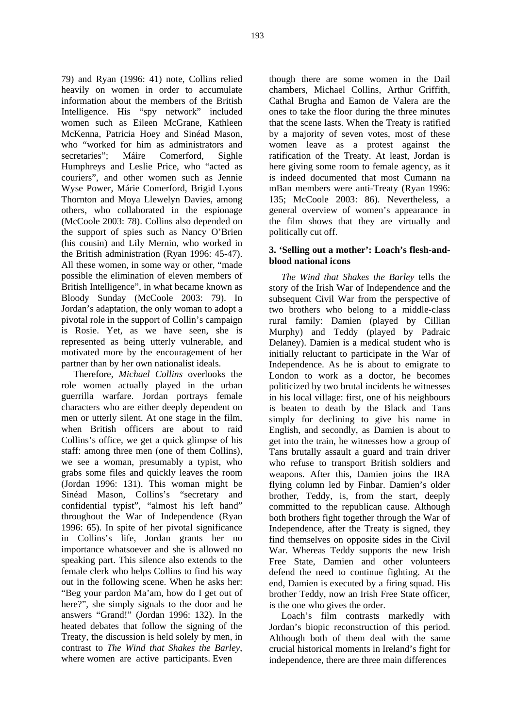79) and Ryan (1996: 41) note, Collins relied heavily on women in order to accumulate information about the members of the British Intelligence. His "spy network" included women such as Eileen McGrane, Kathleen McKenna, Patricia Hoey and Sinéad Mason, who "worked for him as administrators and secretaries"; Máire Comerford, Sighle Humphreys and Leslie Price, who "acted as couriers", and other women such as Jennie Wyse Power, Márie Comerford, Brigid Lyons Thornton and Moya Llewelyn Davies, among others, who collaborated in the espionage (McCoole 2003: 78). Collins also depended on the support of spies such as Nancy O'Brien (his cousin) and Lily Mernin, who worked in the British administration (Ryan 1996: 45-47). All these women, in some way or other, "made possible the elimination of eleven members of British Intelligence", in what became known as Bloody Sunday (McCoole 2003: 79). In Jordan's adaptation, the only woman to adopt a pivotal role in the support of Collin's campaign is Rosie. Yet, as we have seen, she is represented as being utterly vulnerable, and motivated more by the encouragement of her partner than by her own nationalist ideals.

Therefore, *Michael Collins* overlooks the role women actually played in the urban guerrilla warfare. Jordan portrays female characters who are either deeply dependent on men or utterly silent. At one stage in the film, when British officers are about to raid Collins's office, we get a quick glimpse of his staff: among three men (one of them Collins), we see a woman, presumably a typist, who grabs some files and quickly leaves the room (Jordan 1996: 131). This woman might be Sinéad Mason, Collins's "secretary and confidential typist", "almost his left hand" throughout the War of Independence (Ryan 1996: 65). In spite of her pivotal significance in Collins's life, Jordan grants her no importance whatsoever and she is allowed no speaking part. This silence also extends to the female clerk who helps Collins to find his way out in the following scene. When he asks her: "Beg your pardon Ma'am, how do I get out of here?", she simply signals to the door and he answers "Grand!" (Jordan 1996: 132). In the heated debates that follow the signing of the Treaty, the discussion is held solely by men, in contrast to *The Wind that Shakes the Barley*, where women are active participants. Even

though there are some women in the Dail chambers, Michael Collins, Arthur Griffith, Cathal Brugha and Eamon de Valera are the ones to take the floor during the three minutes that the scene lasts. When the Treaty is ratified by a majority of seven votes, most of these women leave as a protest against the ratification of the Treaty. At least, Jordan is here giving some room to female agency, as it is indeed documented that most Cumann na mBan members were anti-Treaty (Ryan 1996: 135; McCoole 2003: 86). Nevertheless, a general overview of women's appearance in the film shows that they are virtually and politically cut off.

### **3. 'Selling out a mother': Loach's flesh-andblood national icons**

*The Wind that Shakes the Barley* tells the story of the Irish War of Independence and the subsequent Civil War from the perspective of two brothers who belong to a middle-class rural family: Damien (played by Cillian Murphy) and Teddy (played by Padraic Delaney). Damien is a medical student who is initially reluctant to participate in the War of Independence. As he is about to emigrate to London to work as a doctor, he becomes politicized by two brutal incidents he witnesses in his local village: first, one of his neighbours is beaten to death by the Black and Tans simply for declining to give his name in English, and secondly, as Damien is about to get into the train, he witnesses how a group of Tans brutally assault a guard and train driver who refuse to transport British soldiers and weapons. After this, Damien joins the IRA flying column led by Finbar. Damien's older brother, Teddy, is, from the start, deeply committed to the republican cause. Although both brothers fight together through the War of Independence, after the Treaty is signed, they find themselves on opposite sides in the Civil War. Whereas Teddy supports the new Irish Free State, Damien and other volunteers defend the need to continue fighting. At the end, Damien is executed by a firing squad. His brother Teddy, now an Irish Free State officer, is the one who gives the order.

Loach's film contrasts markedly with Jordan's biopic reconstruction of this period. Although both of them deal with the same crucial historical moments in Ireland's fight for independence, there are three main differences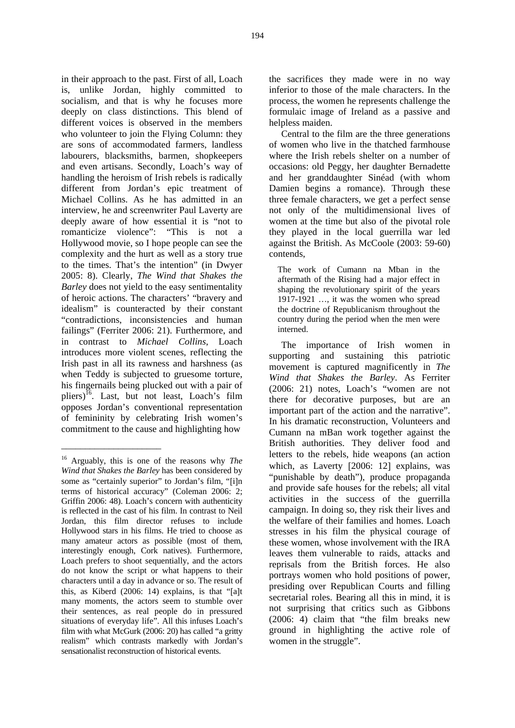in their approach to the past. First of all, Loach is, unlike Jordan, highly committed to socialism, and that is why he focuses more deeply on class distinctions. This blend of different voices is observed in the members who volunteer to join the Flying Column: they are sons of accommodated farmers, landless labourers, blacksmiths, barmen, shopkeepers and even artisans. Secondly, Loach's way of handling the heroism of Irish rebels is radically different from Jordan's epic treatment of Michael Collins. As he has admitted in an interview, he and screenwriter Paul Laverty are deeply aware of how essential it is "not to romanticize violence": "This is not a Hollywood movie, so I hope people can see the complexity and the hurt as well as a story true to the times. That's the intention" (in Dwyer 2005: 8). Clearly, *The Wind that Shakes the Barley* does not yield to the easy sentimentality of heroic actions. The characters' "bravery and idealism" is counteracted by their constant "contradictions, inconsistencies and human failings" (Ferriter 2006: 21). Furthermore, and in contrast to *Michael Collins*, Loach introduces more violent scenes, reflecting the Irish past in all its rawness and harshness (as when Teddy is subjected to gruesome torture, his fingernails being plucked out with a pair of pliers)<sup>16</sup>. Last, but not least, Loach's film opposes Jordan's conventional representation of femininity by celebrating Irish women's commitment to the cause and highlighting how

\_\_\_\_\_\_\_\_\_\_\_\_\_\_\_\_\_\_\_\_\_

the sacrifices they made were in no way inferior to those of the male characters. In the process, the women he represents challenge the formulaic image of Ireland as a passive and helpless maiden.

Central to the film are the three generations of women who live in the thatched farmhouse where the Irish rebels shelter on a number of occasions: old Peggy, her daughter Bernadette and her granddaughter Sinéad (with whom Damien begins a romance). Through these three female characters, we get a perfect sense not only of the multidimensional lives of women at the time but also of the pivotal role they played in the local guerrilla war led against the British. As McCoole (2003: 59-60) contends,

The work of Cumann na Mban in the aftermath of the Rising had a major effect in shaping the revolutionary spirit of the years 1917-1921 …, it was the women who spread the doctrine of Republicanism throughout the country during the period when the men were interned.

The importance of Irish women in supporting and sustaining this patriotic movement is captured magnificently in *The Wind that Shakes the Barley*. As Ferriter (2006: 21) notes, Loach's "women are not there for decorative purposes, but are an important part of the action and the narrative". In his dramatic reconstruction, Volunteers and Cumann na mBan work together against the British authorities. They deliver food and letters to the rebels, hide weapons (an action which, as Laverty [2006: 12] explains, was "punishable by death"), produce propaganda and provide safe houses for the rebels; all vital activities in the success of the guerrilla campaign. In doing so, they risk their lives and the welfare of their families and homes. Loach stresses in his film the physical courage of these women, whose involvement with the IRA leaves them vulnerable to raids, attacks and reprisals from the British forces. He also portrays women who hold positions of power, presiding over Republican Courts and filling secretarial roles. Bearing all this in mind, it is not surprising that critics such as Gibbons (2006: 4) claim that "the film breaks new ground in highlighting the active role of women in the struggle".

<sup>16</sup> Arguably, this is one of the reasons why *The Wind that Shakes the Barley* has been considered by some as "certainly superior" to Jordan's film, "[i]n terms of historical accuracy" (Coleman 2006: 2; Griffin 2006: 48). Loach's concern with authenticity is reflected in the cast of his film. In contrast to Neil Jordan, this film director refuses to include Hollywood stars in his films. He tried to choose as many amateur actors as possible (most of them, interestingly enough, Cork natives). Furthermore, Loach prefers to shoot sequentially, and the actors do not know the script or what happens to their characters until a day in advance or so. The result of this, as Kiberd (2006: 14) explains, is that "[a]t many moments, the actors seem to stumble over their sentences, as real people do in pressured situations of everyday life". All this infuses Loach's film with what McGurk (2006: 20) has called "a gritty realism" which contrasts markedly with Jordan's sensationalist reconstruction of historical events.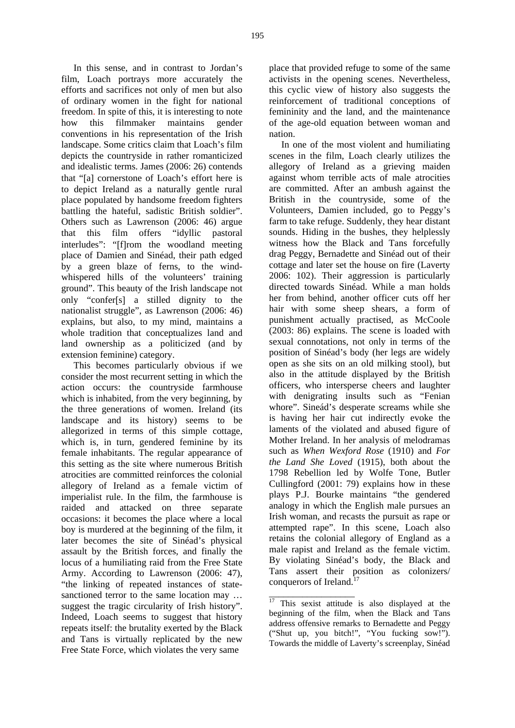In this sense, and in contrast to Jordan's film, Loach portrays more accurately the efforts and sacrifices not only of men but also of ordinary women in the fight for national freedom. In spite of this, it is interesting to note how this filmmaker maintains gender conventions in his representation of the Irish landscape. Some critics claim that Loach's film depicts the countryside in rather romanticized and idealistic terms. James (2006: 26) contends that "[a] cornerstone of Loach's effort here is to depict Ireland as a naturally gentle rural place populated by handsome freedom fighters battling the hateful, sadistic British soldier". Others such as Lawrenson (2006: 46) argue that this film offers "idyllic pastoral interludes": "[f]rom the woodland meeting place of Damien and Sinéad, their path edged by a green blaze of ferns, to the windwhispered hills of the volunteers' training ground". This beauty of the Irish landscape not only "confer[s] a stilled dignity to the nationalist struggle", as Lawrenson (2006: 46) explains, but also, to my mind, maintains a whole tradition that conceptualizes land and land ownership as a politicized (and by extension feminine) category.

This becomes particularly obvious if we consider the most recurrent setting in which the action occurs: the countryside farmhouse which is inhabited, from the very beginning, by the three generations of women. Ireland (its landscape and its history) seems to be allegorized in terms of this simple cottage, which is, in turn, gendered feminine by its female inhabitants. The regular appearance of this setting as the site where numerous British atrocities are committed reinforces the colonial allegory of Ireland as a female victim of imperialist rule. In the film, the farmhouse is raided and attacked on three separate occasions: it becomes the place where a local boy is murdered at the beginning of the film, it later becomes the site of Sinéad's physical assault by the British forces, and finally the locus of a humiliating raid from the Free State Army. According to Lawrenson (2006: 47), "the linking of repeated instances of statesanctioned terror to the same location may ... suggest the tragic circularity of Irish history". Indeed, Loach seems to suggest that history repeats itself: the brutality exerted by the Black and Tans is virtually replicated by the new Free State Force, which violates the very same

place that provided refuge to some of the same activists in the opening scenes. Nevertheless, this cyclic view of history also suggests the reinforcement of traditional conceptions of femininity and the land, and the maintenance of the age-old equation between woman and nation.

In one of the most violent and humiliating scenes in the film, Loach clearly utilizes the allegory of Ireland as a grieving maiden against whom terrible acts of male atrocities are committed. After an ambush against the British in the countryside, some of the Volunteers, Damien included, go to Peggy's farm to take refuge. Suddenly, they hear distant sounds. Hiding in the bushes, they helplessly witness how the Black and Tans forcefully drag Peggy, Bernadette and Sinéad out of their cottage and later set the house on fire (Laverty 2006: 102). Their aggression is particularly directed towards Sinéad. While a man holds her from behind, another officer cuts off her hair with some sheep shears, a form of punishment actually practised, as McCoole (2003: 86) explains. The scene is loaded with sexual connotations, not only in terms of the position of Sinéad's body (her legs are widely open as she sits on an old milking stool), but also in the attitude displayed by the British officers, who intersperse cheers and laughter with denigrating insults such as "Fenian whore". Sineád's desperate screams while she is having her hair cut indirectly evoke the laments of the violated and abused figure of Mother Ireland. In her analysis of melodramas such as *When Wexford Rose* (1910) and *For the Land She Loved* (1915), both about the 1798 Rebellion led by Wolfe Tone, Butler Cullingford (2001: 79) explains how in these plays P.J. Bourke maintains "the gendered analogy in which the English male pursues an Irish woman, and recasts the pursuit as rape or attempted rape". In this scene, Loach also retains the colonial allegory of England as a male rapist and Ireland as the female victim. By violating Sinéad's body, the Black and Tans assert their position as colonizers/ conquerors of Ireland.<sup>17</sup>

\_\_\_\_\_\_\_\_\_\_\_\_\_\_\_\_\_\_

<sup>&</sup>lt;sup>17</sup> This sexist attitude is also displayed at the beginning of the film, when the Black and Tans address offensive remarks to Bernadette and Peggy ("Shut up, you bitch!", "You fucking sow!"). Towards the middle of Laverty's screenplay, Sinéad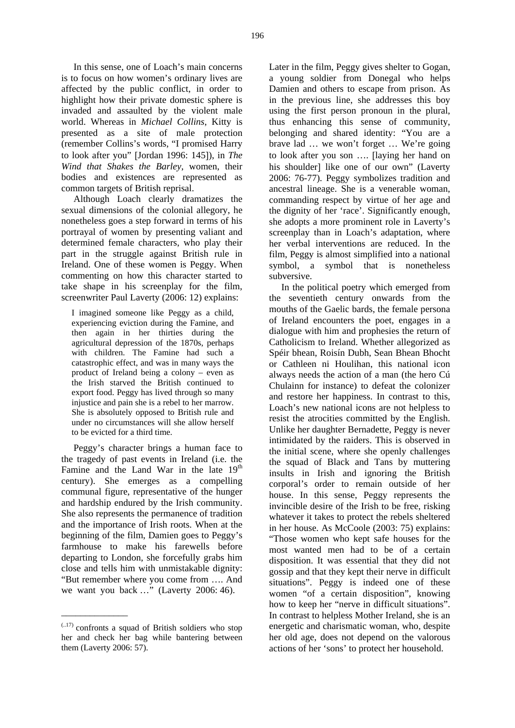In this sense, one of Loach's main concerns is to focus on how women's ordinary lives are affected by the public conflict, in order to highlight how their private domestic sphere is invaded and assaulted by the violent male world. Whereas in *Michael Collins*, Kitty is presented as a site of male protection (remember Collins's words, "I promised Harry to look after you" [Jordan 1996: 145]), in *The Wind that Shakes the Barley*, women, their bodies and existences are represented as common targets of British reprisal.

Although Loach clearly dramatizes the sexual dimensions of the colonial allegory, he nonetheless goes a step forward in terms of his portrayal of women by presenting valiant and determined female characters, who play their part in the struggle against British rule in Ireland. One of these women is Peggy. When commenting on how this character started to take shape in his screenplay for the film, screenwriter Paul Laverty (2006: 12) explains:

I imagined someone like Peggy as a child, experiencing eviction during the Famine, and then again in her thirties during the agricultural depression of the 1870s, perhaps with children. The Famine had such a catastrophic effect, and was in many ways the product of Ireland being a colony – even as the Irish starved the British continued to export food. Peggy has lived through so many injustice and pain she is a rebel to her marrow. She is absolutely opposed to British rule and under no circumstances will she allow herself to be evicted for a third time.

Peggy's character brings a human face to the tragedy of past events in Ireland (i.e. the Famine and the Land War in the late  $19<sup>th</sup>$ century). She emerges as a compelling communal figure, representative of the hunger and hardship endured by the Irish community. She also represents the permanence of tradition and the importance of Irish roots. When at the beginning of the film, Damien goes to Peggy's farmhouse to make his farewells before departing to London, she forcefully grabs him close and tells him with unmistakable dignity: "But remember where you come from …. And we want you back …" (Laverty 2006: 46).

\_\_\_\_\_\_\_\_\_\_\_\_\_\_

Later in the film, Peggy gives shelter to Gogan, a young soldier from Donegal who helps Damien and others to escape from prison. As in the previous line, she addresses this boy using the first person pronoun in the plural, thus enhancing this sense of community, belonging and shared identity: "You are a brave lad … we won't forget … We're going to look after you son …. [laying her hand on his shoulder] like one of our own" (Laverty 2006: 76-77). Peggy symbolizes tradition and ancestral lineage. She is a venerable woman, commanding respect by virtue of her age and the dignity of her 'race'. Significantly enough, she adopts a more prominent role in Laverty's screenplay than in Loach's adaptation, where her verbal interventions are reduced. In the film, Peggy is almost simplified into a national symbol, a symbol that is nonetheless subversive.

In the political poetry which emerged from the seventieth century onwards from the mouths of the Gaelic bards, the female persona of Ireland encounters the poet, engages in a dialogue with him and prophesies the return of Catholicism to Ireland. Whether allegorized as Spéir bhean, Roisín Dubh, Sean Bhean Bhocht or Cathleen ni Houlihan, this national icon always needs the action of a man (the hero Cú Chulainn for instance) to defeat the colonizer and restore her happiness. In contrast to this, Loach's new national icons are not helpless to resist the atrocities committed by the English. Unlike her daughter Bernadette, Peggy is never intimidated by the raiders. This is observed in the initial scene, where she openly challenges the squad of Black and Tans by muttering insults in Irish and ignoring the British corporal's order to remain outside of her house. In this sense, Peggy represents the invincible desire of the Irish to be free, risking whatever it takes to protect the rebels sheltered in her house. As McCoole (2003: 75) explains: "Those women who kept safe houses for the most wanted men had to be of a certain disposition. It was essential that they did not gossip and that they kept their nerve in difficult situations". Peggy is indeed one of these women "of a certain disposition", knowing how to keep her "nerve in difficult situations". In contrast to helpless Mother Ireland, she is an energetic and charismatic woman, who, despite her old age, does not depend on the valorous actions of her 'sons' to protect her household.

 $(0.17)$  confronts a squad of British soldiers who stop her and check her bag while bantering between them (Laverty 2006: 57).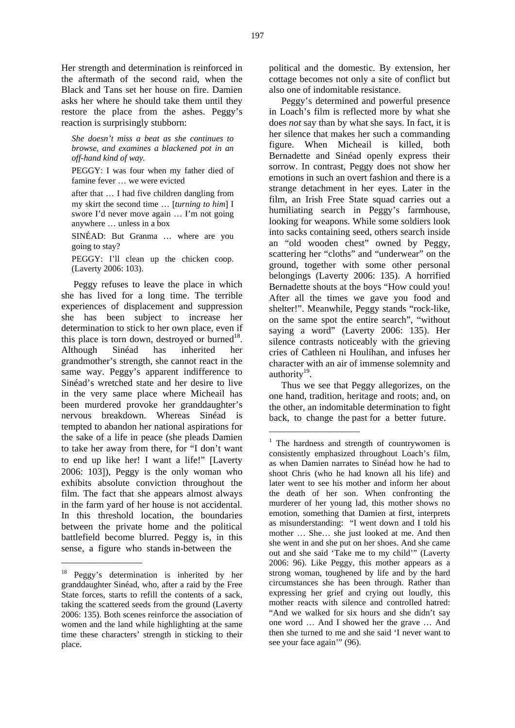Her strength and determination is reinforced in the aftermath of the second raid, when the Black and Tans set her house on fire. Damien asks her where he should take them until they restore the place from the ashes. Peggy's reaction is surprisingly stubborn:

*She doesn't miss a beat as she continues to browse, and examines a blackened pot in an off-hand kind of way.* 

PEGGY: I was four when my father died of famine fever … we were evicted

after that … I had five children dangling from my skirt the second time … [*turning to him*] I swore I'd never move again … I'm not going anywhere … unless in a box

SINÉAD: But Granma … where are you going to stay?

PEGGY: I'll clean up the chicken coop. (Laverty 2006: 103).

Peggy refuses to leave the place in which she has lived for a long time. The terrible experiences of displacement and suppression she has been subject to increase her determination to stick to her own place, even if this place is torn down, destroyed or burned $18$ . Although Sinéad has inherited her grandmother's strength, she cannot react in the same way. Peggy's apparent indifference to Sinéad's wretched state and her desire to live in the very same place where Micheail has been murdered provoke her granddaughter's nervous breakdown. Whereas Sinéad is tempted to abandon her national aspirations for the sake of a life in peace (she pleads Damien to take her away from there, for "I don't want to end up like her! I want a life!" [Laverty 2006: 103]), Peggy is the only woman who exhibits absolute conviction throughout the film. The fact that she appears almost always in the farm yard of her house is not accidental. In this threshold location, the boundaries between the private home and the political battlefield become blurred. Peggy is, in this sense, a figure who stands in-between the

\_\_\_\_\_\_\_\_\_\_\_\_\_\_\_\_\_

political and the domestic. By extension, her cottage becomes not only a site of conflict but also one of indomitable resistance.

Peggy's determined and powerful presence in Loach's film is reflected more by what she does *not* say than by what she says. In fact, it is her silence that makes her such a commanding figure. When Micheail is killed, both Bernadette and Sinéad openly express their sorrow. In contrast, Peggy does not show her emotions in such an overt fashion and there is a strange detachment in her eyes. Later in the film, an Irish Free State squad carries out a humiliating search in Peggy's farmhouse, looking for weapons. While some soldiers look into sacks containing seed, others search inside an "old wooden chest" owned by Peggy, scattering her "cloths" and "underwear" on the ground, together with some other personal belongings (Laverty 2006: 135). A horrified Bernadette shouts at the boys "How could you! After all the times we gave you food and shelter!". Meanwhile, Peggy stands "rock-like, on the same spot the entire search", "without saying a word" (Laverty 2006: 135). Her silence contrasts noticeably with the grieving cries of Cathleen ni Houlihan, and infuses her character with an air of immense solemnity and authority $19$ .

Thus we see that Peggy allegorizes, on the one hand, tradition, heritage and roots; and, on the other, an indomitable determination to fight back, to change the past for a better future.

\_\_\_\_\_\_\_\_\_\_\_\_\_\_\_\_\_\_\_\_\_

<sup>18</sup> Peggy's determination is inherited by her granddaughter Sinéad, who, after a raid by the Free State forces, starts to refill the contents of a sack, taking the scattered seeds from the ground (Laverty 2006: 135). Both scenes reinforce the association of women and the land while highlighting at the same time these characters' strength in sticking to their place.

<sup>&</sup>lt;sup>1</sup> The hardness and strength of countrywomen is consistently emphasized throughout Loach's film, as when Damien narrates to Sinéad how he had to shoot Chris (who he had known all his life) and later went to see his mother and inform her about the death of her son. When confronting the murderer of her young lad, this mother shows no emotion, something that Damien at first, interprets as misunderstanding: "I went down and I told his mother … She… she just looked at me. And then she went in and she put on her shoes. And she came out and she said 'Take me to my child'" (Laverty 2006: 96). Like Peggy, this mother appears as a strong woman, toughened by life and by the hard circumstances she has been through. Rather than expressing her grief and crying out loudly, this mother reacts with silence and controlled hatred: "And we walked for six hours and she didn't say one word … And I showed her the grave … And then she turned to me and she said 'I never want to see your face again" (96).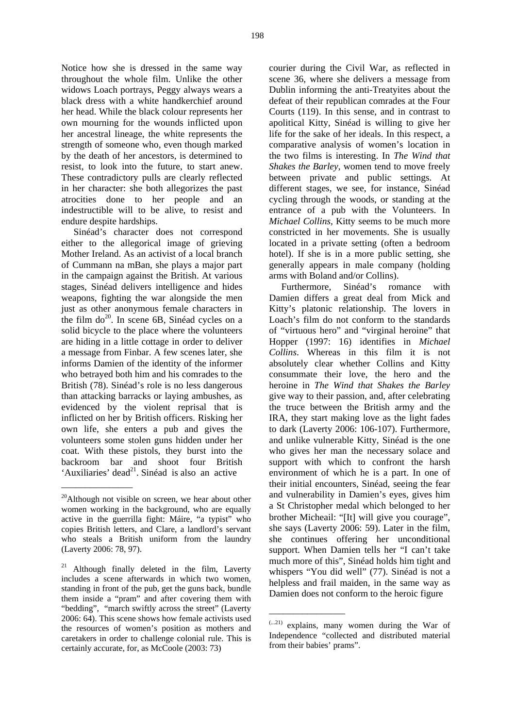Notice how she is dressed in the same way throughout the whole film. Unlike the other widows Loach portrays, Peggy always wears a black dress with a white handkerchief around her head. While the black colour represents her own mourning for the wounds inflicted upon her ancestral lineage, the white represents the strength of someone who, even though marked by the death of her ancestors, is determined to resist, to look into the future, to start anew. These contradictory pulls are clearly reflected in her character: she both allegorizes the past atrocities done to her people and an indestructible will to be alive, to resist and endure despite hardships.

Sinéad's character does not correspond either to the allegorical image of grieving Mother Ireland. As an activist of a local branch of Cummann na mBan, she plays a major part in the campaign against the British. At various stages, Sinéad delivers intelligence and hides weapons, fighting the war alongside the men just as other anonymous female characters in the film  $do^{20}$ . In scene 6B, Sinéad cycles on a solid bicycle to the place where the volunteers are hiding in a little cottage in order to deliver a message from Finbar. A few scenes later, she informs Damien of the identity of the informer who betrayed both him and his comrades to the British (78). Sinéad's role is no less dangerous than attacking barracks or laying ambushes, as evidenced by the violent reprisal that is inflicted on her by British officers. Risking her own life, she enters a pub and gives the volunteers some stolen guns hidden under her coat. With these pistols, they burst into the backroom bar and shoot four British 'Auxiliaries' dead<sup>21</sup>. Sinéad is also an active

\_\_\_\_\_\_\_\_\_\_\_\_\_\_\_

courier during the Civil War, as reflected in scene 36, where she delivers a message from Dublin informing the anti-Treatyites about the defeat of their republican comrades at the Four Courts (119). In this sense, and in contrast to apolitical Kitty, Sinéad is willing to give her life for the sake of her ideals. In this respect, a comparative analysis of women's location in the two films is interesting. In *The Wind that Shakes the Barley*, women tend to move freely between private and public settings. At different stages, we see, for instance, Sinéad cycling through the woods, or standing at the entrance of a pub with the Volunteers. In *Michael Collins*, Kitty seems to be much more constricted in her movements. She is usually located in a private setting (often a bedroom hotel). If she is in a more public setting, she generally appears in male company (holding arms with Boland and/or Collins).

Furthermore, Sinéad's romance with Damien differs a great deal from Mick and Kitty's platonic relationship. The lovers in Loach's film do not conform to the standards of "virtuous hero" and "virginal heroine" that Hopper (1997: 16) identifies in *Michael Collins*. Whereas in this film it is not absolutely clear whether Collins and Kitty consummate their love, the hero and the heroine in *The Wind that Shakes the Barley* give way to their passion, and, after celebrating the truce between the British army and the IRA, they start making love as the light fades to dark (Laverty 2006: 106-107). Furthermore, and unlike vulnerable Kitty, Sinéad is the one who gives her man the necessary solace and support with which to confront the harsh environment of which he is a part. In one of their initial encounters, Sinéad, seeing the fear and vulnerability in Damien's eyes, gives him a St Christopher medal which belonged to her brother Micheail: "[It] will give you courage", she says (Laverty 2006: 59). Later in the film, she continues offering her unconditional support. When Damien tells her "I can't take much more of this", Sinéad holds him tight and whispers "You did well" (77). Sinéad is not a helpless and frail maiden, in the same way as Damien does not conform to the heroic figure

\_\_\_\_\_\_\_\_\_\_\_\_\_\_\_\_

<sup>&</sup>lt;sup>20</sup>Although not visible on screen, we hear about other women working in the background, who are equally active in the guerrilla fight: Máire, "a typist" who copies British letters, and Clare, a landlord's servant who steals a British uniform from the laundry (Laverty 2006: 78, 97).

Although finally deleted in the film, Laverty includes a scene afterwards in which two women, standing in front of the pub, get the guns back, bundle them inside a "pram" and after covering them with "bedding", "march swiftly across the street" (Laverty 2006: 64). This scene shows how female activists used the resources of women's position as mothers and caretakers in order to challenge colonial rule. This is certainly accurate, for, as McCoole (2003: 73)

<sup>(...21)</sup> explains, many women during the War of Independence "collected and distributed material from their babies' prams".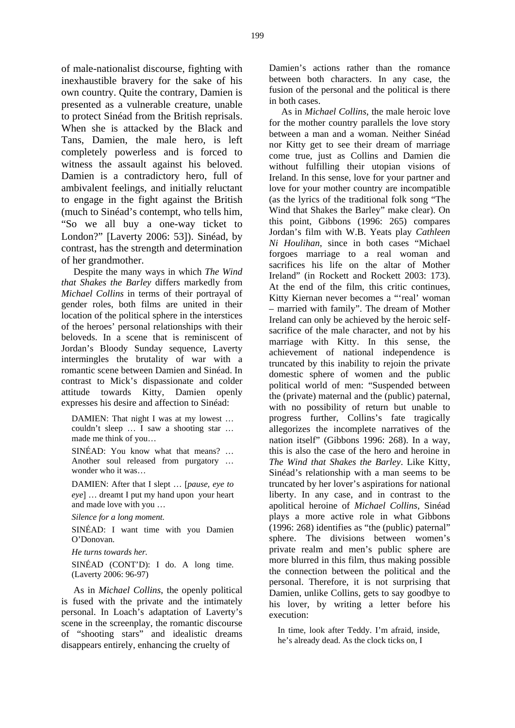of male-nationalist discourse, fighting with inexhaustible bravery for the sake of his own country. Quite the contrary, Damien is presented as a vulnerable creature, unable to protect Sinéad from the British reprisals. When she is attacked by the Black and Tans, Damien, the male hero, is left completely powerless and is forced to witness the assault against his beloved. Damien is a contradictory hero, full of ambivalent feelings, and initially reluctant to engage in the fight against the British (much to Sinéad's contempt, who tells him, "So we all buy a one-way ticket to London?" [Laverty 2006: 53]). Sinéad, by contrast, has the strength and determination of her grandmother.

Despite the many ways in which *The Wind that Shakes the Barley* differs markedly from *Michael Collins* in terms of their portrayal of gender roles, both films are united in their location of the political sphere in the interstices of the heroes' personal relationships with their beloveds. In a scene that is reminiscent of Jordan's Bloody Sunday sequence, Laverty intermingles the brutality of war with a romantic scene between Damien and Sinéad. In contrast to Mick's dispassionate and colder attitude towards Kitty, Damien openly expresses his desire and affection to Sinéad:

DAMIEN: That night I was at my lowest … couldn't sleep … I saw a shooting star … made me think of you…

SINÉAD: You know what that means? … Another soul released from purgatory … wonder who it was…

DAMIEN: After that I slept … [*pause, eye to eye*] … dreamt I put my hand upon your heart and made love with you …

*Silence for a long moment.*

SINÉAD: I want time with you Damien O'Donovan.

*He turns towards her.*

SINÉAD (CONT'D): I do. A long time. (Laverty 2006: 96-97)

As in *Michael Collins*, the openly political is fused with the private and the intimately personal. In Loach's adaptation of Laverty's scene in the screenplay, the romantic discourse of "shooting stars" and idealistic dreams disappears entirely, enhancing the cruelty of

Damien's actions rather than the romance between both characters. In any case, the fusion of the personal and the political is there in both cases.

As in *Michael Collins*, the male heroic love for the mother country parallels the love story between a man and a woman. Neither Sinéad nor Kitty get to see their dream of marriage come true, just as Collins and Damien die without fulfilling their utopian visions of Ireland. In this sense, love for your partner and love for your mother country are incompatible (as the lyrics of the traditional folk song "The Wind that Shakes the Barley" make clear). On this point, Gibbons (1996: 265) compares Jordan's film with W.B. Yeats play *Cathleen Ni Houlihan*, since in both cases "Michael forgoes marriage to a real woman and sacrifices his life on the altar of Mother Ireland" (in Rockett and Rockett 2003: 173). At the end of the film, this critic continues, Kitty Kiernan never becomes a "'real' woman – married with family". The dream of Mother Ireland can only be achieved by the heroic selfsacrifice of the male character, and not by his marriage with Kitty. In this sense, the achievement of national independence is truncated by this inability to rejoin the private domestic sphere of women and the public political world of men: "Suspended between the (private) maternal and the (public) paternal, with no possibility of return but unable to progress further, Collins's fate tragically allegorizes the incomplete narratives of the nation itself" (Gibbons 1996: 268). In a way, this is also the case of the hero and heroine in *The Wind that Shakes the Barley*. Like Kitty, Sinéad's relationship with a man seems to be truncated by her lover's aspirations for national liberty. In any case, and in contrast to the apolitical heroine of *Michael Collins*, Sinéad plays a more active role in what Gibbons (1996: 268) identifies as "the (public) paternal" sphere. The divisions between women's private realm and men's public sphere are more blurred in this film, thus making possible the connection between the political and the personal. Therefore, it is not surprising that Damien, unlike Collins, gets to say goodbye to his lover, by writing a letter before his execution:

In time, look after Teddy. I'm afraid, inside, he's already dead. As the clock ticks on, I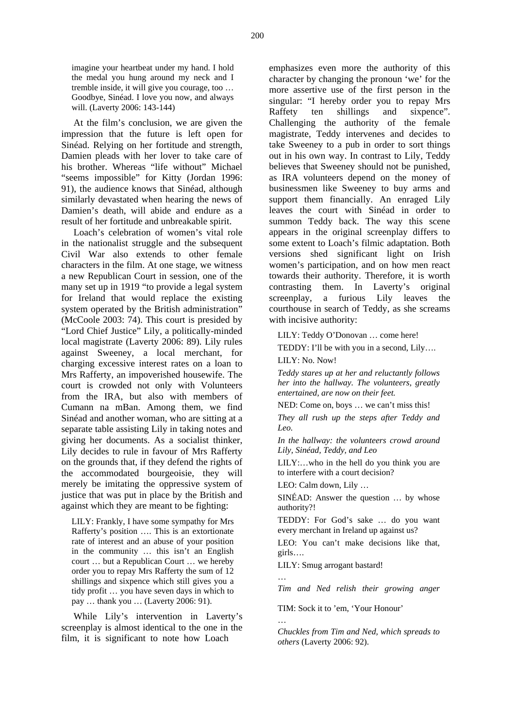imagine your heartbeat under my hand. I hold the medal you hung around my neck and I tremble inside, it will give you courage, too … Goodbye, Sinéad. I love you now, and always will. (Laverty 2006: 143-144)

At the film's conclusion, we are given the impression that the future is left open for Sinéad. Relying on her fortitude and strength, Damien pleads with her lover to take care of his brother. Whereas "life without" Michael "seems impossible" for Kitty (Jordan 1996: 91), the audience knows that Sinéad, although similarly devastated when hearing the news of Damien's death, will abide and endure as a result of her fortitude and unbreakable spirit.

Loach's celebration of women's vital role in the nationalist struggle and the subsequent Civil War also extends to other female characters in the film. At one stage, we witness a new Republican Court in session, one of the many set up in 1919 "to provide a legal system for Ireland that would replace the existing system operated by the British administration" (McCoole 2003: 74). This court is presided by "Lord Chief Justice" Lily, a politically-minded local magistrate (Laverty 2006: 89). Lily rules against Sweeney, a local merchant, for charging excessive interest rates on a loan to Mrs Rafferty, an impoverished housewife. The court is crowded not only with Volunteers from the IRA, but also with members of Cumann na mBan. Among them, we find Sinéad and another woman, who are sitting at a separate table assisting Lily in taking notes and giving her documents. As a socialist thinker, Lily decides to rule in favour of Mrs Rafferty on the grounds that, if they defend the rights of the accommodated bourgeoisie, they will merely be imitating the oppressive system of justice that was put in place by the British and against which they are meant to be fighting:

LILY: Frankly, I have some sympathy for Mrs Rafferty's position …. This is an extortionate rate of interest and an abuse of your position in the community … this isn't an English court … but a Republican Court … we hereby order you to repay Mrs Rafferty the sum of 12 shillings and sixpence which still gives you a tidy profit … you have seven days in which to pay … thank you … (Laverty 2006: 91).

While Lily's intervention in Laverty's screenplay is almost identical to the one in the film, it is significant to note how Loach

emphasizes even more the authority of this character by changing the pronoun 'we' for the more assertive use of the first person in the singular: "I hereby order you to repay Mrs Raffety ten shillings and sixpence". Challenging the authority of the female magistrate, Teddy intervenes and decides to take Sweeney to a pub in order to sort things out in his own way. In contrast to Lily, Teddy believes that Sweeney should not be punished, as IRA volunteers depend on the money of businessmen like Sweeney to buy arms and support them financially. An enraged Lily leaves the court with Sinéad in order to summon Teddy back. The way this scene appears in the original screenplay differs to some extent to Loach's filmic adaptation. Both versions shed significant light on Irish women's participation, and on how men react towards their authority. Therefore, it is worth contrasting them. In Laverty's original screenplay, a furious Lily leaves the courthouse in search of Teddy, as she screams with incisive authority:

LILY: Teddy O'Donovan … come here!

TEDDY: I'll be with you in a second, Lily.... LILY: No. Now!

*Teddy stares up at her and reluctantly follows her into the hallway. The volunteers, greatly entertained, are now on their feet.* 

NED: Come on, boys … we can't miss this!

*They all rush up the steps after Teddy and Leo.* 

*In the hallway: the volunteers crowd around Lily, Sinéad, Teddy, and Leo* 

LILY:…who in the hell do you think you are to interfere with a court decision?

LEO: Calm down, Lily …

SINÉAD: Answer the question … by whose authority?!

TEDDY: For God's sake … do you want every merchant in Ireland up against us?

LEO: You can't make decisions like that, girls….

LILY: Smug arrogant bastard!

…

…

*Tim and Ned relish their growing anger*

TIM: Sock it to 'em, 'Your Honour'

*Chuckles from Tim and Ned, which spreads to others* (Laverty 2006: 92).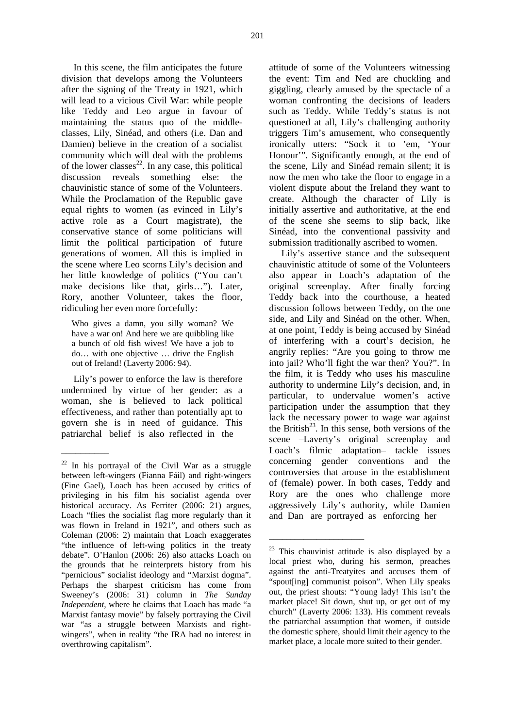In this scene, the film anticipates the future division that develops among the Volunteers after the signing of the Treaty in 1921, which will lead to a vicious Civil War: while people like Teddy and Leo argue in favour of maintaining the status quo of the middleclasses, Lily, Sinéad, and others (i.e. Dan and Damien) believe in the creation of a socialist community which will deal with the problems of the lower classes<sup>22</sup>. In any case, this political discussion reveals something else: the chauvinistic stance of some of the Volunteers. While the Proclamation of the Republic gave equal rights to women (as evinced in Lily's active role as a Court magistrate), the conservative stance of some politicians will limit the political participation of future generations of women. All this is implied in the scene where Leo scorns Lily's decision and her little knowledge of politics ("You can't make decisions like that, girls…"). Later, Rory, another Volunteer, takes the floor, ridiculing her even more forcefully:

Who gives a damn, you silly woman? We have a war on! And here we are quibbling like a bunch of old fish wives! We have a job to do… with one objective … drive the English out of Ireland! (Laverty 2006: 94).

Lily's power to enforce the law is therefore undermined by virtue of her gender: as a woman, she is believed to lack political effectiveness, and rather than potentially apt to govern she is in need of guidance. This patriarchal belief is also reflected in the

\_\_\_\_\_\_\_\_\_\_

attitude of some of the Volunteers witnessing the event: Tim and Ned are chuckling and giggling, clearly amused by the spectacle of a woman confronting the decisions of leaders such as Teddy. While Teddy's status is not questioned at all, Lily's challenging authority triggers Tim's amusement, who consequently ironically utters: "Sock it to 'em, 'Your Honour'". Significantly enough, at the end of the scene, Lily and Sinéad remain silent; it is now the men who take the floor to engage in a violent dispute about the Ireland they want to create. Although the character of Lily is initially assertive and authoritative, at the end of the scene she seems to slip back, like Sinéad, into the conventional passivity and submission traditionally ascribed to women.

Lily's assertive stance and the subsequent chauvinistic attitude of some of the Volunteers also appear in Loach's adaptation of the original screenplay. After finally forcing Teddy back into the courthouse, a heated discussion follows between Teddy, on the one side, and Lily and Sinéad on the other. When, at one point, Teddy is being accused by Sinéad of interfering with a court's decision, he angrily replies: "Are you going to throw me into jail? Who'll fight the war then? You?". In the film, it is Teddy who uses his masculine authority to undermine Lily's decision, and, in particular, to undervalue women's active participation under the assumption that they lack the necessary power to wage war against the British<sup>23</sup>. In this sense, both versions of the scene –Laverty's original screenplay and Loach's filmic adaptation– tackle issues concerning gender conventions and the controversies that arouse in the establishment of (female) power. In both cases, Teddy and Rory are the ones who challenge more aggressively Lily's authority, while Damien and Dan are portrayed as enforcing her

\_\_\_\_\_\_\_\_\_\_\_\_\_\_\_\_\_\_\_\_\_\_

<sup>22</sup> In his portrayal of the Civil War as a struggle between left-wingers (Fianna Fáil) and right-wingers (Fine Gael), Loach has been accused by critics of privileging in his film his socialist agenda over historical accuracy. As Ferriter (2006: 21) argues, Loach "flies the socialist flag more regularly than it was flown in Ireland in 1921", and others such as Coleman (2006: 2) maintain that Loach exaggerates "the influence of left-wing politics in the treaty debate". O'Hanlon (2006: 26) also attacks Loach on the grounds that he reinterprets history from his "pernicious" socialist ideology and "Marxist dogma". Perhaps the sharpest criticism has come from Sweeney's (2006: 31) column in *The Sunday Independent*, where he claims that Loach has made "a Marxist fantasy movie" by falsely portraying the Civil war "as a struggle between Marxists and rightwingers", when in reality "the IRA had no interest in overthrowing capitalism".

 $23$  This chauvinist attitude is also displayed by a local priest who, during his sermon, preaches against the anti-Treatyites and accuses them of "spout[ing] communist poison". When Lily speaks out, the priest shouts: "Young lady! This isn't the market place! Sit down, shut up, or get out of my church" (Laverty 2006: 133). His comment reveals the patriarchal assumption that women, if outside the domestic sphere, should limit their agency to the market place, a locale more suited to their gender.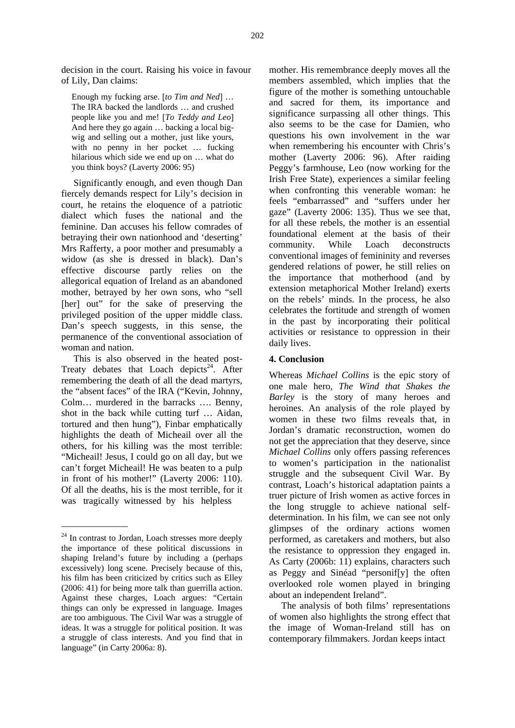decision in the court. Raising his voice in favour of Lily, Dan claims:

Enough my fucking arse. [*to Tim and Ned*] … The IRA backed the landlords … and crushed people like you and me! [*To Teddy and Leo*] And here they go again … backing a local bigwig and selling out a mother, just like yours, with no penny in her pocket … fucking hilarious which side we end up on … what do you think boys? (Laverty 2006: 95)

Significantly enough, and even though Dan fiercely demands respect for Lily's decision in court, he retains the eloquence of a patriotic dialect which fuses the national and the feminine. Dan accuses his fellow comrades of betraying their own nationhood and 'deserting' Mrs Rafferty, a poor mother and presumably a widow (as she is dressed in black). Dan's effective discourse partly relies on the allegorical equation of Ireland as an abandoned mother, betrayed by her own sons, who "sell [her] out" for the sake of preserving the privileged position of the upper middle class. Dan's speech suggests, in this sense, the permanence of the conventional association of woman and nation.

This is also observed in the heated post-Treaty debates that Loach depicts<sup>24</sup>. After remembering the death of all the dead martyrs, the "absent faces" of the IRA ("Kevin, Johnny, Colm… murdered in the barracks …. Benny, shot in the back while cutting turf … Aidan, tortured and then hung"), Finbar emphatically highlights the death of Micheail over all the others, for his killing was the most terrible: "Micheail! Jesus, I could go on all day, but we can't forget Micheail! He was beaten to a pulp in front of his mother!" (Laverty 2006: 110). Of all the deaths, his is the most terrible, for it was tragically witnessed by his helpless

\_\_\_\_\_\_\_\_\_\_\_\_\_\_

mother. His remembrance deeply moves all the members assembled, which implies that the figure of the mother is something untouchable and sacred for them, its importance and significance surpassing all other things. This also seems to be the case for Damien, who questions his own involvement in the war when remembering his encounter with Chris's mother (Laverty 2006: 96). After raiding Peggy's farmhouse, Leo (now working for the Irish Free State), experiences a similar feeling when confronting this venerable woman: he feels "embarrassed" and "suffers under her gaze" (Laverty 2006: 135). Thus we see that, for all these rebels, the mother is an essential foundational element at the basis of their community. While Loach deconstructs conventional images of femininity and reverses gendered relations of power, he still relies on the importance that motherhood (and by extension metaphorical Mother Ireland) exerts on the rebels' minds. In the process, he also celebrates the fortitude and strength of women in the past by incorporating their political activities or resistance to oppression in their daily lives.

### **4. Conclusion**

Whereas *Michael Collins* is the epic story of one male hero, *The Wind that Shakes the Barley* is the story of many heroes and heroines. An analysis of the role played by women in these two films reveals that, in Jordan's dramatic reconstruction, women do not get the appreciation that they deserve, since *Michael Collins* only offers passing references to women's participation in the nationalist struggle and the subsequent Civil War. By contrast, Loach's historical adaptation paints a truer picture of Irish women as active forces in the long struggle to achieve national selfdetermination. In his film, we can see not only glimpses of the ordinary actions women performed, as caretakers and mothers, but also the resistance to oppression they engaged in. As Carty (2006b: 11) explains, characters such as Peggy and Sinéad "personif[y] the often overlooked role women played in bringing about an independent Ireland".

The analysis of both films' representations of women also highlights the strong effect that the image of Woman-Ireland still has on contemporary filmmakers. Jordan keeps intact

 $24$  In contrast to Jordan, Loach stresses more deeply the importance of these political discussions in shaping Ireland's future by including a (perhaps excessively) long scene. Precisely because of this, his film has been criticized by critics such as Elley (2006: 41) for being more talk than guerrilla action. Against these charges, Loach argues: "Certain things can only be expressed in language. Images are too ambiguous. The Civil War was a struggle of ideas. It was a struggle for political position. It was a struggle of class interests. And you find that in language" (in Carty 2006a: 8).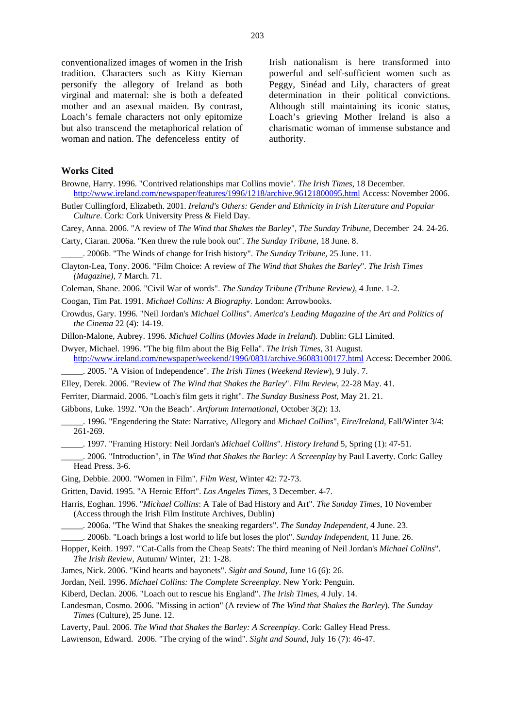conventionalized images of women in the Irish tradition. Characters such as Kitty Kiernan personify the allegory of Ireland as both virginal and maternal: she is both a defeated mother and an asexual maiden. By contrast, Loach's female characters not only epitomize but also transcend the metaphorical relation of woman and nation. The defenceless entity of

Irish nationalism is here transformed into powerful and self-sufficient women such as Peggy, Sinéad and Lily, characters of great determination in their political convictions. Although still maintaining its iconic status, Loach's grieving Mother Ireland is also a charismatic woman of immense substance and authority.

#### **Works Cited**

Browne, Harry. 1996. "Contrived relationships mar Collins movie". *The Irish Times*, 18 December. http://www.ireland.com/newspaper/features/1996/1218/archive.96121800095.html Access: November 2006.

Butler Cullingford, Elizabeth. 2001. *Ireland's Others: Gender and Ethnicity in Irish Literature and Popular Culture*. Cork: Cork University Press & Field Day.

Carey, Anna. 2006. "A review of *The Wind that Shakes the Barley*", *The Sunday Tribune,* December 24. 24-26.

Carty, Ciaran. 2006a. "Ken threw the rule book out". *The Sunday Tribune,* 18 June. 8.

\_\_\_\_\_. 2006b. "The Winds of change for Irish history". *The Sunday Tribune,* 25 June. 11.

Clayton-Lea, Tony. 2006. "Film Choice: A review of *The Wind that Shakes the Barley*". *The Irish Times (Magazine),* 7 March. 71.

Coleman, Shane. 2006. "Civil War of words". *The Sunday Tribune (Tribune Review),* 4 June. 1-2.

Coogan, Tim Pat. 1991. *Michael Collins: A Biography*. London: Arrowbooks.

Crowdus, Gary. 1996. "Neil Jordan's *Michael Collins*". *America's Leading Magazine of the Art and Politics of the Cinema* 22 (4): 14-19.

Dillon-Malone, Aubrey. 1996. *Michael Collins* (*Movies Made in Ireland*). Dublin: GLI Limited.

Dwyer, Michael. 1996. "The big film about the Big Fella". *The Irish Times*, 31 August.

http://www.ireland.com/newspaper/weekend/1996/0831/archive.96083100177.html Access: December 2006.

- \_\_\_\_\_. 2005. "A Vision of Independence". *The Irish Times* (*Weekend Review*), 9 July. 7.
- Elley, Derek. 2006. "Review of *The Wind that Shakes the Barley*". *Film Review*, 22-28 May. 41.

Ferriter, Diarmaid. 2006. "Loach's film gets it right". *The Sunday Business Post*, May 21. 21.

Gibbons, Luke. 1992. "On the Beach". *Artforum International,* October 3(2): 13.

\_\_\_\_\_. 1996. "Engendering the State: Narrative, Allegory and *Michael Collins*", *Eire/Ireland,* Fall/Winter 3/4: 261-269.

\_\_\_\_\_. 1997. "Framing History: Neil Jordan's *Michael Collins*". *History Ireland* 5, Spring (1): 47-51.

\_\_\_\_\_. 2006. "Introduction", in *The Wind that Shakes the Barley: A Screenplay* by Paul Laverty. Cork: Galley Head Press. 3-6.

Ging, Debbie. 2000. "Women in Film". *Film West,* Winter 42: 72-73.

Gritten, David. 1995. "A Heroic Effort". *Los Angeles Times*, 3 December. 4-7.

Harris, Eoghan. 1996. "*Michael Collins*: A Tale of Bad History and Art". *The Sunday Times*, 10 November (Access through the Irish Film Institute Archives, Dublin)

\_\_\_\_\_. 2006a. "The Wind that Shakes the sneaking regarders". *The Sunday Independent*, 4 June. 23.

\_\_\_\_\_. 2006b. "Loach brings a lost world to life but loses the plot". *Sunday Independent*, 11 June. 26.

Hopper, Keith. 1997. "'Cat-Calls from the Cheap Seats': The third meaning of Neil Jordan's *Michael Collins*". *The Irish Review,* Autumn/ Winter, 21: 1-28.

- James, Nick. 2006. "Kind hearts and bayonets". *Sight and Sound,* June 16 (6): 26.
- Jordan, Neil. 1996. *Michael Collins: The Complete Screenplay*. New York: Penguin.
- Kiberd, Declan. 2006. "Loach out to rescue his England". *The Irish Times,* 4 July. 14.

Landesman, Cosmo. 2006. "Missing in action" (A review of *The Wind that Shakes the Barley*). *The Sunday Times* (Culture), 25 June. 12.

- Laverty, Paul. 2006. *The Wind that Shakes the Barley: A Screenplay*. Cork: Galley Head Press.
- Lawrenson, Edward. 2006. "The crying of the wind". *Sight and Sound,* July 16 (7): 46-47.